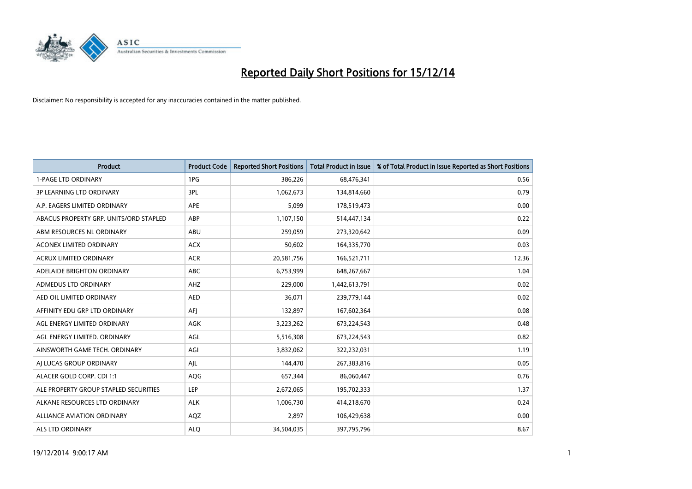

| <b>Product</b>                         | <b>Product Code</b> | <b>Reported Short Positions</b> | <b>Total Product in Issue</b> | % of Total Product in Issue Reported as Short Positions |
|----------------------------------------|---------------------|---------------------------------|-------------------------------|---------------------------------------------------------|
| <b>1-PAGE LTD ORDINARY</b>             | 1PG                 | 386,226                         | 68,476,341                    | 0.56                                                    |
| <b>3P LEARNING LTD ORDINARY</b>        | 3PL                 | 1,062,673                       | 134,814,660                   | 0.79                                                    |
| A.P. EAGERS LIMITED ORDINARY           | APE                 | 5,099                           | 178,519,473                   | 0.00                                                    |
| ABACUS PROPERTY GRP. UNITS/ORD STAPLED | ABP                 | 1,107,150                       | 514,447,134                   | 0.22                                                    |
| ABM RESOURCES NL ORDINARY              | ABU                 | 259,059                         | 273,320,642                   | 0.09                                                    |
| <b>ACONEX LIMITED ORDINARY</b>         | <b>ACX</b>          | 50,602                          | 164,335,770                   | 0.03                                                    |
| <b>ACRUX LIMITED ORDINARY</b>          | <b>ACR</b>          | 20,581,756                      | 166,521,711                   | 12.36                                                   |
| ADELAIDE BRIGHTON ORDINARY             | <b>ABC</b>          | 6,753,999                       | 648,267,667                   | 1.04                                                    |
| ADMEDUS LTD ORDINARY                   | AHZ                 | 229,000                         | 1,442,613,791                 | 0.02                                                    |
| AED OIL LIMITED ORDINARY               | <b>AED</b>          | 36,071                          | 239,779,144                   | 0.02                                                    |
| AFFINITY EDU GRP LTD ORDINARY          | AFJ                 | 132,897                         | 167,602,364                   | 0.08                                                    |
| AGL ENERGY LIMITED ORDINARY            | AGK                 | 3,223,262                       | 673,224,543                   | 0.48                                                    |
| AGL ENERGY LIMITED. ORDINARY           | AGL                 | 5,516,308                       | 673,224,543                   | 0.82                                                    |
| AINSWORTH GAME TECH. ORDINARY          | AGI                 | 3,832,062                       | 322,232,031                   | 1.19                                                    |
| AI LUCAS GROUP ORDINARY                | AJL                 | 144,470                         | 267,383,816                   | 0.05                                                    |
| ALACER GOLD CORP. CDI 1:1              | AQG                 | 657,344                         | 86,060,447                    | 0.76                                                    |
| ALE PROPERTY GROUP STAPLED SECURITIES  | LEP                 | 2,672,065                       | 195,702,333                   | 1.37                                                    |
| ALKANE RESOURCES LTD ORDINARY          | <b>ALK</b>          | 1,006,730                       | 414,218,670                   | 0.24                                                    |
| <b>ALLIANCE AVIATION ORDINARY</b>      | AQZ                 | 2,897                           | 106,429,638                   | 0.00                                                    |
| ALS LTD ORDINARY                       | <b>ALO</b>          | 34,504,035                      | 397,795,796                   | 8.67                                                    |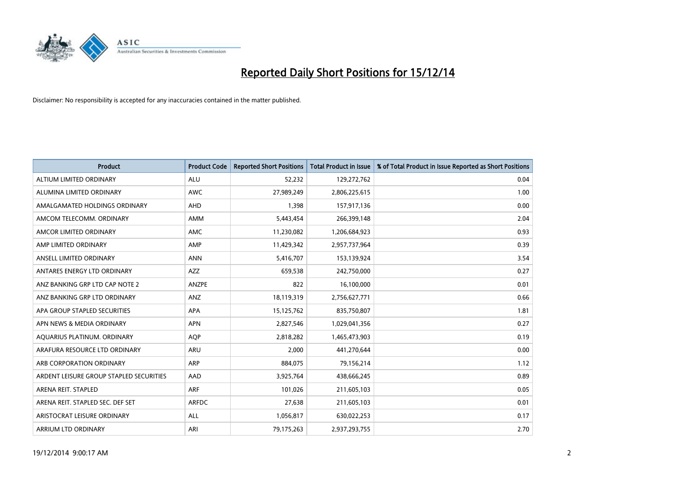

| <b>Product</b>                          | <b>Product Code</b> | <b>Reported Short Positions</b> | <b>Total Product in Issue</b> | % of Total Product in Issue Reported as Short Positions |
|-----------------------------------------|---------------------|---------------------------------|-------------------------------|---------------------------------------------------------|
| ALTIUM LIMITED ORDINARY                 | <b>ALU</b>          | 52,232                          | 129,272,762                   | 0.04                                                    |
| ALUMINA LIMITED ORDINARY                | <b>AWC</b>          | 27,989,249                      | 2,806,225,615                 | 1.00                                                    |
| AMALGAMATED HOLDINGS ORDINARY           | <b>AHD</b>          | 1,398                           | 157,917,136                   | 0.00                                                    |
| AMCOM TELECOMM. ORDINARY                | AMM                 | 5,443,454                       | 266,399,148                   | 2.04                                                    |
| AMCOR LIMITED ORDINARY                  | AMC                 | 11,230,082                      | 1,206,684,923                 | 0.93                                                    |
| AMP LIMITED ORDINARY                    | AMP                 | 11,429,342                      | 2,957,737,964                 | 0.39                                                    |
| ANSELL LIMITED ORDINARY                 | <b>ANN</b>          | 5,416,707                       | 153,139,924                   | 3.54                                                    |
| ANTARES ENERGY LTD ORDINARY             | AZZ                 | 659,538                         | 242,750,000                   | 0.27                                                    |
| ANZ BANKING GRP LTD CAP NOTE 2          | <b>ANZPE</b>        | 822                             | 16,100,000                    | 0.01                                                    |
| ANZ BANKING GRP LTD ORDINARY            | ANZ                 | 18,119,319                      | 2,756,627,771                 | 0.66                                                    |
| APA GROUP STAPLED SECURITIES            | APA                 | 15,125,762                      | 835,750,807                   | 1.81                                                    |
| APN NEWS & MEDIA ORDINARY               | <b>APN</b>          | 2,827,546                       | 1,029,041,356                 | 0.27                                                    |
| AQUARIUS PLATINUM. ORDINARY             | <b>AOP</b>          | 2,818,282                       | 1,465,473,903                 | 0.19                                                    |
| ARAFURA RESOURCE LTD ORDINARY           | ARU                 | 2,000                           | 441,270,644                   | 0.00                                                    |
| ARB CORPORATION ORDINARY                | <b>ARP</b>          | 884,075                         | 79,156,214                    | 1.12                                                    |
| ARDENT LEISURE GROUP STAPLED SECURITIES | AAD                 | 3,925,764                       | 438,666,245                   | 0.89                                                    |
| ARENA REIT. STAPLED                     | <b>ARF</b>          | 101,026                         | 211,605,103                   | 0.05                                                    |
| ARENA REIT. STAPLED SEC. DEF SET        | <b>ARFDC</b>        | 27,638                          | 211,605,103                   | 0.01                                                    |
| ARISTOCRAT LEISURE ORDINARY             | ALL                 | 1,056,817                       | 630,022,253                   | 0.17                                                    |
| ARRIUM LTD ORDINARY                     | ARI                 | 79,175,263                      | 2,937,293,755                 | 2.70                                                    |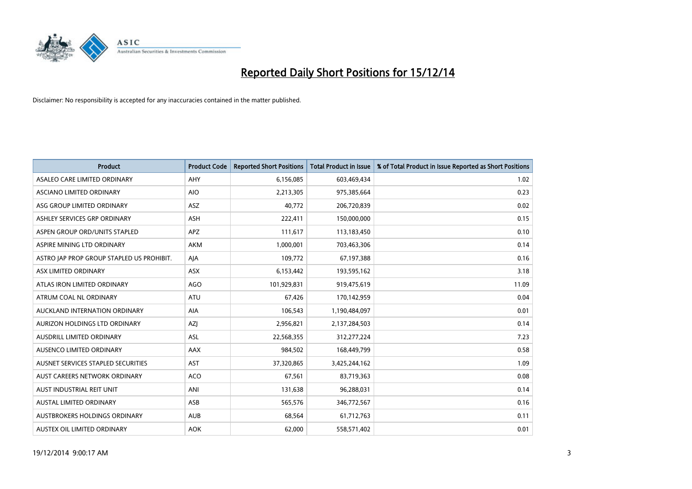

| <b>Product</b>                            | <b>Product Code</b> | <b>Reported Short Positions</b> | <b>Total Product in Issue</b> | % of Total Product in Issue Reported as Short Positions |
|-------------------------------------------|---------------------|---------------------------------|-------------------------------|---------------------------------------------------------|
| ASALEO CARE LIMITED ORDINARY              | AHY                 | 6,156,085                       | 603,469,434                   | 1.02                                                    |
| ASCIANO LIMITED ORDINARY                  | <b>AIO</b>          | 2,213,305                       | 975,385,664                   | 0.23                                                    |
| ASG GROUP LIMITED ORDINARY                | ASZ                 | 40,772                          | 206,720,839                   | 0.02                                                    |
| ASHLEY SERVICES GRP ORDINARY              | <b>ASH</b>          | 222,411                         | 150,000,000                   | 0.15                                                    |
| ASPEN GROUP ORD/UNITS STAPLED             | <b>APZ</b>          | 111,617                         | 113,183,450                   | 0.10                                                    |
| ASPIRE MINING LTD ORDINARY                | <b>AKM</b>          | 1,000,001                       | 703,463,306                   | 0.14                                                    |
| ASTRO JAP PROP GROUP STAPLED US PROHIBIT. | AJA                 | 109,772                         | 67,197,388                    | 0.16                                                    |
| ASX LIMITED ORDINARY                      | ASX                 | 6,153,442                       | 193,595,162                   | 3.18                                                    |
| ATLAS IRON LIMITED ORDINARY               | AGO                 | 101,929,831                     | 919,475,619                   | 11.09                                                   |
| ATRUM COAL NL ORDINARY                    | <b>ATU</b>          | 67,426                          | 170,142,959                   | 0.04                                                    |
| AUCKLAND INTERNATION ORDINARY             | AIA                 | 106,543                         | 1,190,484,097                 | 0.01                                                    |
| AURIZON HOLDINGS LTD ORDINARY             | AZJ                 | 2,956,821                       | 2,137,284,503                 | 0.14                                                    |
| AUSDRILL LIMITED ORDINARY                 | ASL                 | 22,568,355                      | 312,277,224                   | 7.23                                                    |
| AUSENCO LIMITED ORDINARY                  | AAX                 | 984,502                         | 168,449,799                   | 0.58                                                    |
| AUSNET SERVICES STAPLED SECURITIES        | AST                 | 37,320,865                      | 3,425,244,162                 | 1.09                                                    |
| AUST CAREERS NETWORK ORDINARY             | <b>ACO</b>          | 67,561                          | 83,719,363                    | 0.08                                                    |
| AUST INDUSTRIAL REIT UNIT                 | ANI                 | 131,638                         | 96,288,031                    | 0.14                                                    |
| AUSTAL LIMITED ORDINARY                   | ASB                 | 565,576                         | 346,772,567                   | 0.16                                                    |
| AUSTBROKERS HOLDINGS ORDINARY             | <b>AUB</b>          | 68,564                          | 61,712,763                    | 0.11                                                    |
| AUSTEX OIL LIMITED ORDINARY               | <b>AOK</b>          | 62,000                          | 558,571,402                   | 0.01                                                    |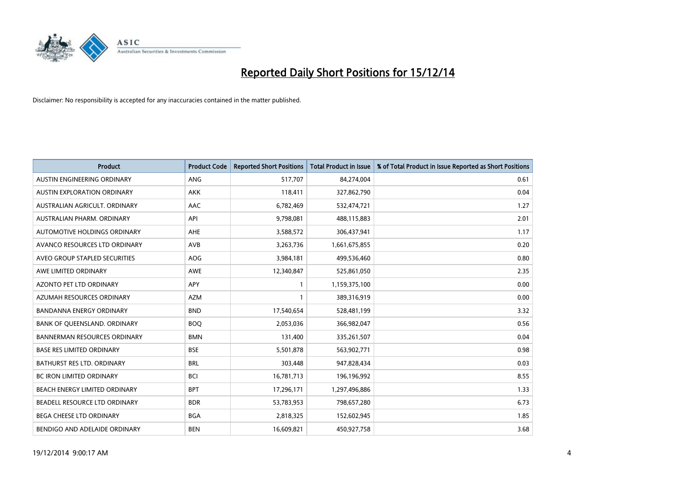

| <b>Product</b>                      | <b>Product Code</b> | <b>Reported Short Positions</b> | <b>Total Product in Issue</b> | % of Total Product in Issue Reported as Short Positions |
|-------------------------------------|---------------------|---------------------------------|-------------------------------|---------------------------------------------------------|
| AUSTIN ENGINEERING ORDINARY         | ANG                 | 517,707                         | 84,274,004                    | 0.61                                                    |
| AUSTIN EXPLORATION ORDINARY         | <b>AKK</b>          | 118,411                         | 327,862,790                   | 0.04                                                    |
| AUSTRALIAN AGRICULT, ORDINARY       | AAC                 | 6,782,469                       | 532,474,721                   | 1.27                                                    |
| AUSTRALIAN PHARM. ORDINARY          | API                 | 9,798,081                       | 488,115,883                   | 2.01                                                    |
| AUTOMOTIVE HOLDINGS ORDINARY        | AHE                 | 3,588,572                       | 306,437,941                   | 1.17                                                    |
| AVANCO RESOURCES LTD ORDINARY       | <b>AVB</b>          | 3,263,736                       | 1,661,675,855                 | 0.20                                                    |
| AVEO GROUP STAPLED SECURITIES       | AOG                 | 3,984,181                       | 499,536,460                   | 0.80                                                    |
| AWE LIMITED ORDINARY                | AWE                 | 12,340,847                      | 525,861,050                   | 2.35                                                    |
| <b>AZONTO PET LTD ORDINARY</b>      | APY                 | $\mathbf{1}$                    | 1,159,375,100                 | 0.00                                                    |
| AZUMAH RESOURCES ORDINARY           | <b>AZM</b>          | 1                               | 389,316,919                   | 0.00                                                    |
| BANDANNA ENERGY ORDINARY            | <b>BND</b>          | 17,540,654                      | 528,481,199                   | 3.32                                                    |
| BANK OF QUEENSLAND. ORDINARY        | <b>BOQ</b>          | 2,053,036                       | 366,982,047                   | 0.56                                                    |
| <b>BANNERMAN RESOURCES ORDINARY</b> | <b>BMN</b>          | 131,400                         | 335,261,507                   | 0.04                                                    |
| <b>BASE RES LIMITED ORDINARY</b>    | <b>BSE</b>          | 5,501,878                       | 563,902,771                   | 0.98                                                    |
| <b>BATHURST RES LTD. ORDINARY</b>   | <b>BRL</b>          | 303,448                         | 947,828,434                   | 0.03                                                    |
| BC IRON LIMITED ORDINARY            | <b>BCI</b>          | 16,781,713                      | 196,196,992                   | 8.55                                                    |
| BEACH ENERGY LIMITED ORDINARY       | <b>BPT</b>          | 17,296,171                      | 1,297,496,886                 | 1.33                                                    |
| BEADELL RESOURCE LTD ORDINARY       | <b>BDR</b>          | 53,783,953                      | 798,657,280                   | 6.73                                                    |
| <b>BEGA CHEESE LTD ORDINARY</b>     | <b>BGA</b>          | 2,818,325                       | 152,602,945                   | 1.85                                                    |
| BENDIGO AND ADELAIDE ORDINARY       | <b>BEN</b>          | 16,609,821                      | 450,927,758                   | 3.68                                                    |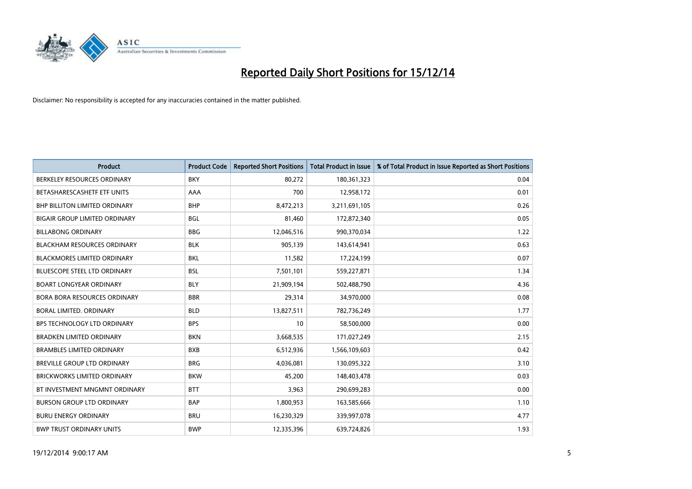

| <b>Product</b>                       | <b>Product Code</b> | <b>Reported Short Positions</b> | <b>Total Product in Issue</b> | % of Total Product in Issue Reported as Short Positions |
|--------------------------------------|---------------------|---------------------------------|-------------------------------|---------------------------------------------------------|
| BERKELEY RESOURCES ORDINARY          | <b>BKY</b>          | 80,272                          | 180,361,323                   | 0.04                                                    |
| BETASHARESCASHETF ETF UNITS          | AAA                 | 700                             | 12,958,172                    | 0.01                                                    |
| <b>BHP BILLITON LIMITED ORDINARY</b> | <b>BHP</b>          | 8,472,213                       | 3,211,691,105                 | 0.26                                                    |
| BIGAIR GROUP LIMITED ORDINARY        | <b>BGL</b>          | 81,460                          | 172,872,340                   | 0.05                                                    |
| <b>BILLABONG ORDINARY</b>            | <b>BBG</b>          | 12,046,516                      | 990,370,034                   | 1.22                                                    |
| <b>BLACKHAM RESOURCES ORDINARY</b>   | <b>BLK</b>          | 905,139                         | 143,614,941                   | 0.63                                                    |
| <b>BLACKMORES LIMITED ORDINARY</b>   | <b>BKL</b>          | 11,582                          | 17,224,199                    | 0.07                                                    |
| <b>BLUESCOPE STEEL LTD ORDINARY</b>  | <b>BSL</b>          | 7,501,101                       | 559,227,871                   | 1.34                                                    |
| <b>BOART LONGYEAR ORDINARY</b>       | <b>BLY</b>          | 21,909,194                      | 502,488,790                   | 4.36                                                    |
| <b>BORA BORA RESOURCES ORDINARY</b>  | <b>BBR</b>          | 29,314                          | 34,970,000                    | 0.08                                                    |
| BORAL LIMITED, ORDINARY              | <b>BLD</b>          | 13,827,511                      | 782,736,249                   | 1.77                                                    |
| BPS TECHNOLOGY LTD ORDINARY          | <b>BPS</b>          | 10                              | 58,500,000                    | 0.00                                                    |
| <b>BRADKEN LIMITED ORDINARY</b>      | <b>BKN</b>          | 3,668,535                       | 171,027,249                   | 2.15                                                    |
| <b>BRAMBLES LIMITED ORDINARY</b>     | <b>BXB</b>          | 6,512,936                       | 1,566,109,603                 | 0.42                                                    |
| BREVILLE GROUP LTD ORDINARY          | <b>BRG</b>          | 4,036,081                       | 130,095,322                   | 3.10                                                    |
| <b>BRICKWORKS LIMITED ORDINARY</b>   | <b>BKW</b>          | 45,200                          | 148,403,478                   | 0.03                                                    |
| BT INVESTMENT MNGMNT ORDINARY        | <b>BTT</b>          | 3,963                           | 290,699,283                   | 0.00                                                    |
| <b>BURSON GROUP LTD ORDINARY</b>     | <b>BAP</b>          | 1,800,953                       | 163,585,666                   | 1.10                                                    |
| <b>BURU ENERGY ORDINARY</b>          | <b>BRU</b>          | 16,230,329                      | 339,997,078                   | 4.77                                                    |
| <b>BWP TRUST ORDINARY UNITS</b>      | <b>BWP</b>          | 12,335,396                      | 639,724,826                   | 1.93                                                    |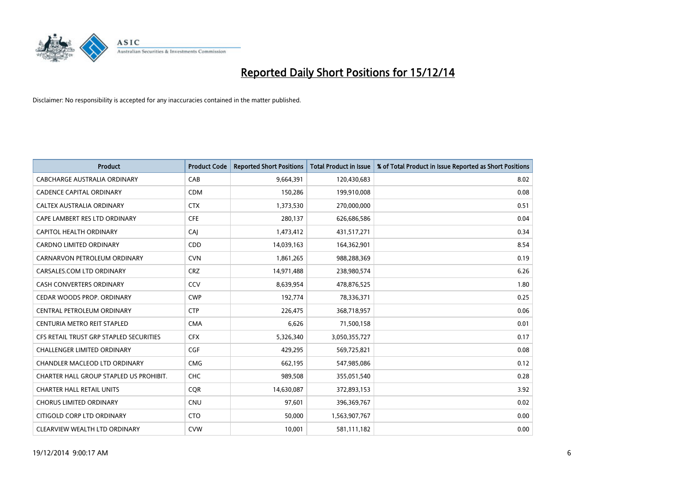

| <b>Product</b>                          | <b>Product Code</b> | <b>Reported Short Positions</b> | <b>Total Product in Issue</b> | % of Total Product in Issue Reported as Short Positions |
|-----------------------------------------|---------------------|---------------------------------|-------------------------------|---------------------------------------------------------|
| <b>CABCHARGE AUSTRALIA ORDINARY</b>     | CAB                 | 9,664,391                       | 120,430,683                   | 8.02                                                    |
| CADENCE CAPITAL ORDINARY                | <b>CDM</b>          | 150,286                         | 199,910,008                   | 0.08                                                    |
| CALTEX AUSTRALIA ORDINARY               | <b>CTX</b>          | 1,373,530                       | 270,000,000                   | 0.51                                                    |
| CAPE LAMBERT RES LTD ORDINARY           | <b>CFE</b>          | 280,137                         | 626,686,586                   | 0.04                                                    |
| CAPITOL HEALTH ORDINARY                 | CAI                 | 1,473,412                       | 431,517,271                   | 0.34                                                    |
| <b>CARDNO LIMITED ORDINARY</b>          | CDD                 | 14,039,163                      | 164,362,901                   | 8.54                                                    |
| CARNARVON PETROLEUM ORDINARY            | <b>CVN</b>          | 1,861,265                       | 988,288,369                   | 0.19                                                    |
| CARSALES.COM LTD ORDINARY               | <b>CRZ</b>          | 14,971,488                      | 238,980,574                   | 6.26                                                    |
| <b>CASH CONVERTERS ORDINARY</b>         | CCV                 | 8,639,954                       | 478,876,525                   | 1.80                                                    |
| CEDAR WOODS PROP. ORDINARY              | <b>CWP</b>          | 192,774                         | 78,336,371                    | 0.25                                                    |
| CENTRAL PETROLEUM ORDINARY              | <b>CTP</b>          | 226,475                         | 368,718,957                   | 0.06                                                    |
| CENTURIA METRO REIT STAPLED             | <b>CMA</b>          | 6,626                           | 71,500,158                    | 0.01                                                    |
| CFS RETAIL TRUST GRP STAPLED SECURITIES | <b>CFX</b>          | 5,326,340                       | 3,050,355,727                 | 0.17                                                    |
| <b>CHALLENGER LIMITED ORDINARY</b>      | <b>CGF</b>          | 429,295                         | 569,725,821                   | 0.08                                                    |
| <b>CHANDLER MACLEOD LTD ORDINARY</b>    | <b>CMG</b>          | 662,195                         | 547,985,086                   | 0.12                                                    |
| CHARTER HALL GROUP STAPLED US PROHIBIT. | <b>CHC</b>          | 989,508                         | 355,051,540                   | 0.28                                                    |
| <b>CHARTER HALL RETAIL UNITS</b>        | <b>CQR</b>          | 14,630,087                      | 372,893,153                   | 3.92                                                    |
| <b>CHORUS LIMITED ORDINARY</b>          | <b>CNU</b>          | 97,601                          | 396,369,767                   | 0.02                                                    |
| CITIGOLD CORP LTD ORDINARY              | <b>CTO</b>          | 50,000                          | 1,563,907,767                 | 0.00                                                    |
| CLEARVIEW WEALTH LTD ORDINARY           | <b>CVW</b>          | 10,001                          | 581,111,182                   | 0.00                                                    |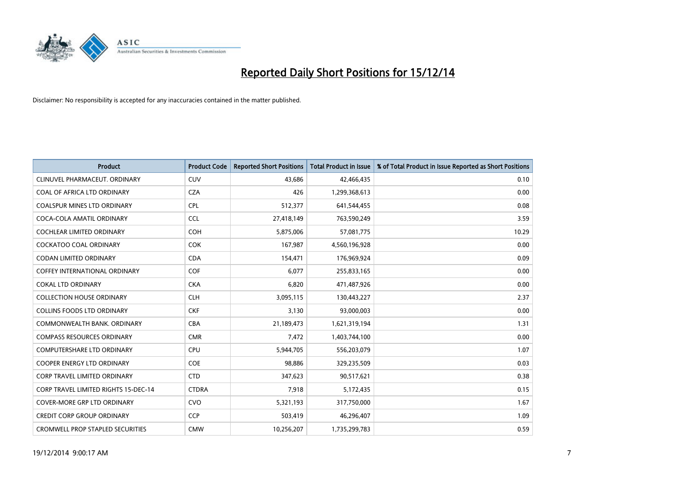

| <b>Product</b>                          | <b>Product Code</b> | <b>Reported Short Positions</b> | <b>Total Product in Issue</b> | % of Total Product in Issue Reported as Short Positions |
|-----------------------------------------|---------------------|---------------------------------|-------------------------------|---------------------------------------------------------|
| CLINUVEL PHARMACEUT, ORDINARY           | <b>CUV</b>          | 43,686                          | 42,466,435                    | 0.10                                                    |
| COAL OF AFRICA LTD ORDINARY             | <b>CZA</b>          | 426                             | 1,299,368,613                 | 0.00                                                    |
| <b>COALSPUR MINES LTD ORDINARY</b>      | <b>CPL</b>          | 512,377                         | 641,544,455                   | 0.08                                                    |
| COCA-COLA AMATIL ORDINARY               | <b>CCL</b>          | 27,418,149                      | 763,590,249                   | 3.59                                                    |
| <b>COCHLEAR LIMITED ORDINARY</b>        | COH                 | 5,875,006                       | 57,081,775                    | 10.29                                                   |
| <b>COCKATOO COAL ORDINARY</b>           | <b>COK</b>          | 167,987                         | 4,560,196,928                 | 0.00                                                    |
| <b>CODAN LIMITED ORDINARY</b>           | <b>CDA</b>          | 154,471                         | 176,969,924                   | 0.09                                                    |
| <b>COFFEY INTERNATIONAL ORDINARY</b>    | <b>COF</b>          | 6,077                           | 255,833,165                   | 0.00                                                    |
| <b>COKAL LTD ORDINARY</b>               | <b>CKA</b>          | 6,820                           | 471,487,926                   | 0.00                                                    |
| <b>COLLECTION HOUSE ORDINARY</b>        | <b>CLH</b>          | 3,095,115                       | 130,443,227                   | 2.37                                                    |
| <b>COLLINS FOODS LTD ORDINARY</b>       | <b>CKF</b>          | 3,130                           | 93,000,003                    | 0.00                                                    |
| COMMONWEALTH BANK, ORDINARY             | <b>CBA</b>          | 21,189,473                      | 1,621,319,194                 | 1.31                                                    |
| <b>COMPASS RESOURCES ORDINARY</b>       | <b>CMR</b>          | 7,472                           | 1,403,744,100                 | 0.00                                                    |
| <b>COMPUTERSHARE LTD ORDINARY</b>       | <b>CPU</b>          | 5,944,705                       | 556,203,079                   | 1.07                                                    |
| <b>COOPER ENERGY LTD ORDINARY</b>       | <b>COE</b>          | 98,886                          | 329,235,509                   | 0.03                                                    |
| <b>CORP TRAVEL LIMITED ORDINARY</b>     | <b>CTD</b>          | 347,623                         | 90,517,621                    | 0.38                                                    |
| CORP TRAVEL LIMITED RIGHTS 15-DEC-14    | <b>CTDRA</b>        | 7,918                           | 5,172,435                     | 0.15                                                    |
| <b>COVER-MORE GRP LTD ORDINARY</b>      | <b>CVO</b>          | 5,321,193                       | 317,750,000                   | 1.67                                                    |
| <b>CREDIT CORP GROUP ORDINARY</b>       | <b>CCP</b>          | 503,419                         | 46,296,407                    | 1.09                                                    |
| <b>CROMWELL PROP STAPLED SECURITIES</b> | <b>CMW</b>          | 10,256,207                      | 1,735,299,783                 | 0.59                                                    |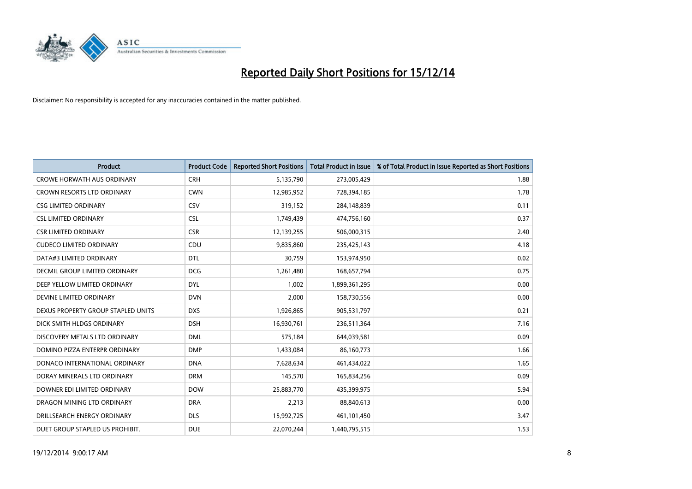

| <b>Product</b>                     | <b>Product Code</b> | <b>Reported Short Positions</b> | <b>Total Product in Issue</b> | % of Total Product in Issue Reported as Short Positions |
|------------------------------------|---------------------|---------------------------------|-------------------------------|---------------------------------------------------------|
| <b>CROWE HORWATH AUS ORDINARY</b>  | <b>CRH</b>          | 5,135,790                       | 273,005,429                   | 1.88                                                    |
| <b>CROWN RESORTS LTD ORDINARY</b>  | <b>CWN</b>          | 12,985,952                      | 728,394,185                   | 1.78                                                    |
| <b>CSG LIMITED ORDINARY</b>        | CSV                 | 319,152                         | 284,148,839                   | 0.11                                                    |
| <b>CSL LIMITED ORDINARY</b>        | <b>CSL</b>          | 1,749,439                       | 474,756,160                   | 0.37                                                    |
| <b>CSR LIMITED ORDINARY</b>        | <b>CSR</b>          | 12,139,255                      | 506,000,315                   | 2.40                                                    |
| <b>CUDECO LIMITED ORDINARY</b>     | CDU                 | 9,835,860                       | 235,425,143                   | 4.18                                                    |
| DATA#3 LIMITED ORDINARY            | <b>DTL</b>          | 30.759                          | 153,974,950                   | 0.02                                                    |
| DECMIL GROUP LIMITED ORDINARY      | <b>DCG</b>          | 1,261,480                       | 168,657,794                   | 0.75                                                    |
| DEEP YELLOW LIMITED ORDINARY       | <b>DYL</b>          | 1,002                           | 1,899,361,295                 | 0.00                                                    |
| DEVINE LIMITED ORDINARY            | <b>DVN</b>          | 2,000                           | 158,730,556                   | 0.00                                                    |
| DEXUS PROPERTY GROUP STAPLED UNITS | <b>DXS</b>          | 1,926,865                       | 905,531,797                   | 0.21                                                    |
| DICK SMITH HLDGS ORDINARY          | <b>DSH</b>          | 16,930,761                      | 236,511,364                   | 7.16                                                    |
| DISCOVERY METALS LTD ORDINARY      | <b>DML</b>          | 575,184                         | 644,039,581                   | 0.09                                                    |
| DOMINO PIZZA ENTERPR ORDINARY      | <b>DMP</b>          | 1,433,084                       | 86,160,773                    | 1.66                                                    |
| DONACO INTERNATIONAL ORDINARY      | <b>DNA</b>          | 7,628,634                       | 461,434,022                   | 1.65                                                    |
| DORAY MINERALS LTD ORDINARY        | <b>DRM</b>          | 145,570                         | 165,834,256                   | 0.09                                                    |
| DOWNER EDI LIMITED ORDINARY        | <b>DOW</b>          | 25,883,770                      | 435,399,975                   | 5.94                                                    |
| DRAGON MINING LTD ORDINARY         | <b>DRA</b>          | 2,213                           | 88,840,613                    | 0.00                                                    |
| DRILLSEARCH ENERGY ORDINARY        | <b>DLS</b>          | 15,992,725                      | 461,101,450                   | 3.47                                                    |
| DUET GROUP STAPLED US PROHIBIT.    | <b>DUE</b>          | 22,070,244                      | 1,440,795,515                 | 1.53                                                    |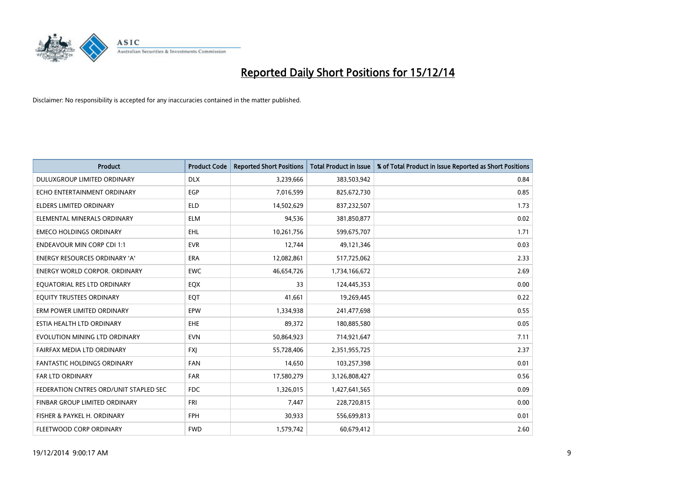

| <b>Product</b>                         | <b>Product Code</b> | <b>Reported Short Positions</b> | <b>Total Product in Issue</b> | % of Total Product in Issue Reported as Short Positions |
|----------------------------------------|---------------------|---------------------------------|-------------------------------|---------------------------------------------------------|
| DULUXGROUP LIMITED ORDINARY            | <b>DLX</b>          | 3,239,666                       | 383,503,942                   | 0.84                                                    |
| ECHO ENTERTAINMENT ORDINARY            | <b>EGP</b>          | 7,016,599                       | 825,672,730                   | 0.85                                                    |
| ELDERS LIMITED ORDINARY                | <b>ELD</b>          | 14,502,629                      | 837,232,507                   | 1.73                                                    |
| ELEMENTAL MINERALS ORDINARY            | <b>ELM</b>          | 94,536                          | 381,850,877                   | 0.02                                                    |
| <b>EMECO HOLDINGS ORDINARY</b>         | <b>EHL</b>          | 10,261,756                      | 599,675,707                   | 1.71                                                    |
| <b>ENDEAVOUR MIN CORP CDI 1:1</b>      | <b>EVR</b>          | 12,744                          | 49,121,346                    | 0.03                                                    |
| <b>ENERGY RESOURCES ORDINARY 'A'</b>   | ERA                 | 12,082,861                      | 517,725,062                   | 2.33                                                    |
| <b>ENERGY WORLD CORPOR. ORDINARY</b>   | <b>EWC</b>          | 46,654,726                      | 1,734,166,672                 | 2.69                                                    |
| EQUATORIAL RES LTD ORDINARY            | EQX                 | 33                              | 124,445,353                   | 0.00                                                    |
| EQUITY TRUSTEES ORDINARY               | EQT                 | 41,661                          | 19,269,445                    | 0.22                                                    |
| ERM POWER LIMITED ORDINARY             | <b>EPW</b>          | 1,334,938                       | 241,477,698                   | 0.55                                                    |
| ESTIA HEALTH LTD ORDINARY              | <b>EHE</b>          | 89,372                          | 180,885,580                   | 0.05                                                    |
| EVOLUTION MINING LTD ORDINARY          | <b>EVN</b>          | 50,864,923                      | 714,921,647                   | 7.11                                                    |
| FAIRFAX MEDIA LTD ORDINARY             | <b>FXI</b>          | 55,728,406                      | 2,351,955,725                 | 2.37                                                    |
| <b>FANTASTIC HOLDINGS ORDINARY</b>     | <b>FAN</b>          | 14,650                          | 103,257,398                   | 0.01                                                    |
| FAR LTD ORDINARY                       | <b>FAR</b>          | 17,580,279                      | 3,126,808,427                 | 0.56                                                    |
| FEDERATION CNTRES ORD/UNIT STAPLED SEC | <b>FDC</b>          | 1,326,015                       | 1,427,641,565                 | 0.09                                                    |
| FINBAR GROUP LIMITED ORDINARY          | <b>FRI</b>          | 7,447                           | 228,720,815                   | 0.00                                                    |
| FISHER & PAYKEL H. ORDINARY            | <b>FPH</b>          | 30,933                          | 556,699,813                   | 0.01                                                    |
| FLEETWOOD CORP ORDINARY                | <b>FWD</b>          | 1,579,742                       | 60,679,412                    | 2.60                                                    |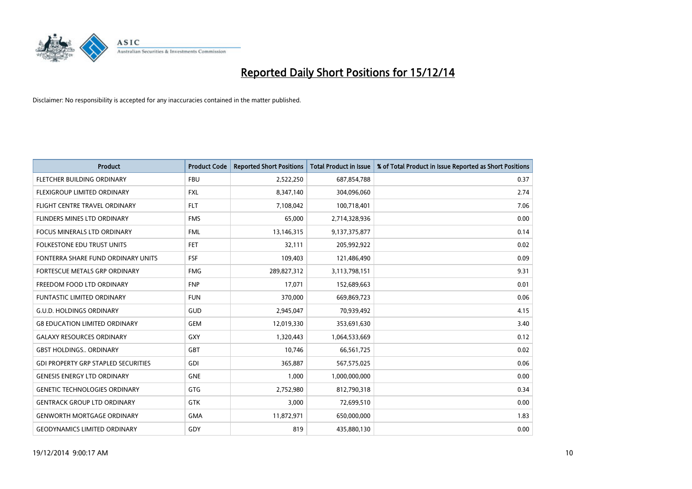

| <b>Product</b>                             | <b>Product Code</b> | <b>Reported Short Positions</b> | <b>Total Product in Issue</b> | % of Total Product in Issue Reported as Short Positions |
|--------------------------------------------|---------------------|---------------------------------|-------------------------------|---------------------------------------------------------|
| FLETCHER BUILDING ORDINARY                 | <b>FBU</b>          | 2,522,250                       | 687,854,788                   | 0.37                                                    |
| FLEXIGROUP LIMITED ORDINARY                | <b>FXL</b>          | 8,347,140                       | 304,096,060                   | 2.74                                                    |
| FLIGHT CENTRE TRAVEL ORDINARY              | <b>FLT</b>          | 7,108,042                       | 100,718,401                   | 7.06                                                    |
| FLINDERS MINES LTD ORDINARY                | <b>FMS</b>          | 65,000                          | 2,714,328,936                 | 0.00                                                    |
| <b>FOCUS MINERALS LTD ORDINARY</b>         | <b>FML</b>          | 13,146,315                      | 9,137,375,877                 | 0.14                                                    |
| <b>FOLKESTONE EDU TRUST UNITS</b>          | FET.                | 32,111                          | 205,992,922                   | 0.02                                                    |
| FONTERRA SHARE FUND ORDINARY UNITS         | <b>FSF</b>          | 109,403                         | 121,486,490                   | 0.09                                                    |
| FORTESCUE METALS GRP ORDINARY              | <b>FMG</b>          | 289,827,312                     | 3,113,798,151                 | 9.31                                                    |
| FREEDOM FOOD LTD ORDINARY                  | <b>FNP</b>          | 17,071                          | 152,689,663                   | 0.01                                                    |
| <b>FUNTASTIC LIMITED ORDINARY</b>          | <b>FUN</b>          | 370,000                         | 669,869,723                   | 0.06                                                    |
| <b>G.U.D. HOLDINGS ORDINARY</b>            | GUD                 | 2,945,047                       | 70,939,492                    | 4.15                                                    |
| <b>G8 EDUCATION LIMITED ORDINARY</b>       | <b>GEM</b>          | 12,019,330                      | 353,691,630                   | 3.40                                                    |
| <b>GALAXY RESOURCES ORDINARY</b>           | GXY                 | 1,320,443                       | 1,064,533,669                 | 0.12                                                    |
| <b>GBST HOLDINGS ORDINARY</b>              | GBT                 | 10,746                          | 66,561,725                    | 0.02                                                    |
| <b>GDI PROPERTY GRP STAPLED SECURITIES</b> | <b>GDI</b>          | 365,887                         | 567,575,025                   | 0.06                                                    |
| <b>GENESIS ENERGY LTD ORDINARY</b>         | <b>GNE</b>          | 1,000                           | 1,000,000,000                 | 0.00                                                    |
| <b>GENETIC TECHNOLOGIES ORDINARY</b>       | GTG                 | 2,752,980                       | 812,790,318                   | 0.34                                                    |
| <b>GENTRACK GROUP LTD ORDINARY</b>         | GTK                 | 3,000                           | 72,699,510                    | 0.00                                                    |
| <b>GENWORTH MORTGAGE ORDINARY</b>          | <b>GMA</b>          | 11,872,971                      | 650,000,000                   | 1.83                                                    |
| <b>GEODYNAMICS LIMITED ORDINARY</b>        | GDY                 | 819                             | 435,880,130                   | 0.00                                                    |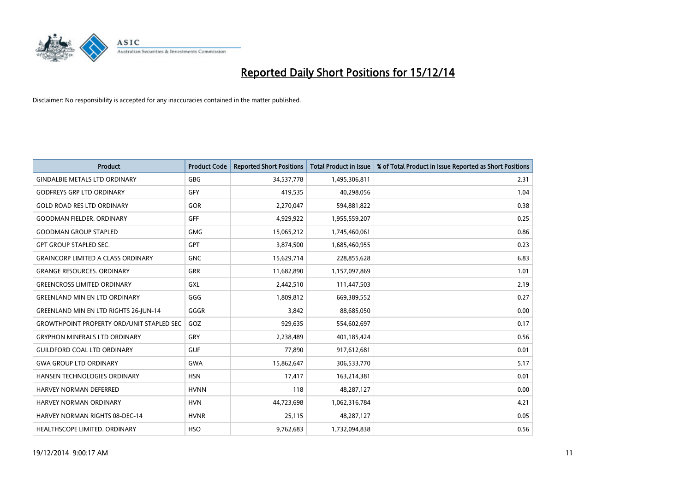

| <b>Product</b>                                   | <b>Product Code</b> | <b>Reported Short Positions</b> | <b>Total Product in Issue</b> | % of Total Product in Issue Reported as Short Positions |
|--------------------------------------------------|---------------------|---------------------------------|-------------------------------|---------------------------------------------------------|
| <b>GINDALBIE METALS LTD ORDINARY</b>             | <b>GBG</b>          | 34,537,778                      | 1,495,306,811                 | 2.31                                                    |
| <b>GODFREYS GRP LTD ORDINARY</b>                 | GFY                 | 419,535                         | 40,298,056                    | 1.04                                                    |
| <b>GOLD ROAD RES LTD ORDINARY</b>                | <b>GOR</b>          | 2,270,047                       | 594,881,822                   | 0.38                                                    |
| <b>GOODMAN FIELDER. ORDINARY</b>                 | <b>GFF</b>          | 4,929,922                       | 1,955,559,207                 | 0.25                                                    |
| <b>GOODMAN GROUP STAPLED</b>                     | <b>GMG</b>          | 15,065,212                      | 1,745,460,061                 | 0.86                                                    |
| <b>GPT GROUP STAPLED SEC.</b>                    | <b>GPT</b>          | 3,874,500                       | 1,685,460,955                 | 0.23                                                    |
| <b>GRAINCORP LIMITED A CLASS ORDINARY</b>        | <b>GNC</b>          | 15,629,714                      | 228,855,628                   | 6.83                                                    |
| <b>GRANGE RESOURCES, ORDINARY</b>                | GRR                 | 11,682,890                      | 1,157,097,869                 | 1.01                                                    |
| <b>GREENCROSS LIMITED ORDINARY</b>               | GXL                 | 2,442,510                       | 111,447,503                   | 2.19                                                    |
| <b>GREENLAND MIN EN LTD ORDINARY</b>             | GGG                 | 1,809,812                       | 669,389,552                   | 0.27                                                    |
| GREENLAND MIN EN LTD RIGHTS 26-JUN-14            | GGGR                | 3,842                           | 88,685,050                    | 0.00                                                    |
| <b>GROWTHPOINT PROPERTY ORD/UNIT STAPLED SEC</b> | GOZ                 | 929,635                         | 554,602,697                   | 0.17                                                    |
| <b>GRYPHON MINERALS LTD ORDINARY</b>             | GRY                 | 2,238,489                       | 401,185,424                   | 0.56                                                    |
| <b>GUILDFORD COAL LTD ORDINARY</b>               | <b>GUF</b>          | 77,890                          | 917,612,681                   | 0.01                                                    |
| <b>GWA GROUP LTD ORDINARY</b>                    | <b>GWA</b>          | 15,862,647                      | 306,533,770                   | 5.17                                                    |
| HANSEN TECHNOLOGIES ORDINARY                     | <b>HSN</b>          | 17,417                          | 163,214,381                   | 0.01                                                    |
| <b>HARVEY NORMAN DEFERRED</b>                    | <b>HVNN</b>         | 118                             | 48,287,127                    | 0.00                                                    |
| <b>HARVEY NORMAN ORDINARY</b>                    | <b>HVN</b>          | 44,723,698                      | 1,062,316,784                 | 4.21                                                    |
| HARVEY NORMAN RIGHTS 08-DEC-14                   | <b>HVNR</b>         | 25,115                          | 48,287,127                    | 0.05                                                    |
| HEALTHSCOPE LIMITED. ORDINARY                    | <b>HSO</b>          | 9,762,683                       | 1,732,094,838                 | 0.56                                                    |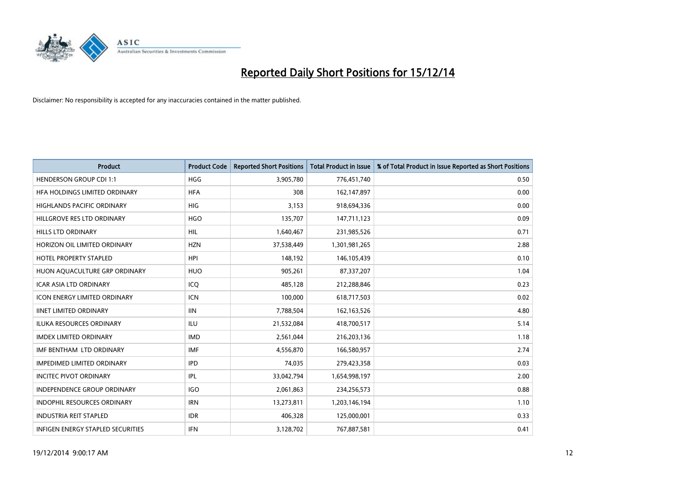

| <b>Product</b>                      | <b>Product Code</b> | <b>Reported Short Positions</b> | <b>Total Product in Issue</b> | % of Total Product in Issue Reported as Short Positions |
|-------------------------------------|---------------------|---------------------------------|-------------------------------|---------------------------------------------------------|
| <b>HENDERSON GROUP CDI 1:1</b>      | <b>HGG</b>          | 3,905,780                       | 776,451,740                   | 0.50                                                    |
| HFA HOLDINGS LIMITED ORDINARY       | <b>HFA</b>          | 308                             | 162,147,897                   | 0.00                                                    |
| <b>HIGHLANDS PACIFIC ORDINARY</b>   | <b>HIG</b>          | 3,153                           | 918,694,336                   | 0.00                                                    |
| HILLGROVE RES LTD ORDINARY          | <b>HGO</b>          | 135,707                         | 147,711,123                   | 0.09                                                    |
| <b>HILLS LTD ORDINARY</b>           | HIL                 | 1,640,467                       | 231,985,526                   | 0.71                                                    |
| HORIZON OIL LIMITED ORDINARY        | <b>HZN</b>          | 37,538,449                      | 1,301,981,265                 | 2.88                                                    |
| <b>HOTEL PROPERTY STAPLED</b>       | <b>HPI</b>          | 148,192                         | 146, 105, 439                 | 0.10                                                    |
| HUON AQUACULTURE GRP ORDINARY       | <b>HUO</b>          | 905,261                         | 87,337,207                    | 1.04                                                    |
| <b>ICAR ASIA LTD ORDINARY</b>       | ICQ                 | 485,128                         | 212,288,846                   | 0.23                                                    |
| <b>ICON ENERGY LIMITED ORDINARY</b> | <b>ICN</b>          | 100,000                         | 618,717,503                   | 0.02                                                    |
| <b>IINET LIMITED ORDINARY</b>       | <b>IIN</b>          | 7,788,504                       | 162,163,526                   | 4.80                                                    |
| <b>ILUKA RESOURCES ORDINARY</b>     | ILU                 | 21,532,084                      | 418,700,517                   | 5.14                                                    |
| <b>IMDEX LIMITED ORDINARY</b>       | <b>IMD</b>          | 2,561,044                       | 216,203,136                   | 1.18                                                    |
| IMF BENTHAM LTD ORDINARY            | <b>IMF</b>          | 4,556,870                       | 166,580,957                   | 2.74                                                    |
| <b>IMPEDIMED LIMITED ORDINARY</b>   | <b>IPD</b>          | 74,035                          | 279,423,358                   | 0.03                                                    |
| <b>INCITEC PIVOT ORDINARY</b>       | IPL                 | 33,042,794                      | 1,654,998,197                 | 2.00                                                    |
| INDEPENDENCE GROUP ORDINARY         | <b>IGO</b>          | 2,061,863                       | 234,256,573                   | 0.88                                                    |
| INDOPHIL RESOURCES ORDINARY         | <b>IRN</b>          | 13,273,811                      | 1,203,146,194                 | 1.10                                                    |
| <b>INDUSTRIA REIT STAPLED</b>       | <b>IDR</b>          | 406,328                         | 125,000,001                   | 0.33                                                    |
| INFIGEN ENERGY STAPLED SECURITIES   | <b>IFN</b>          | 3,128,702                       | 767,887,581                   | 0.41                                                    |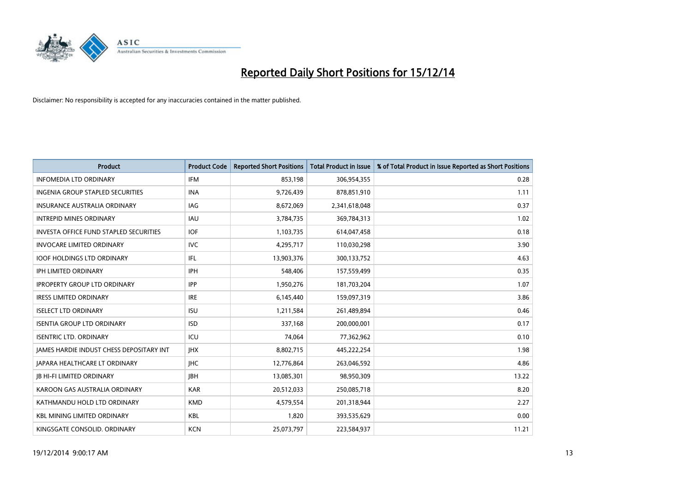

| <b>Product</b>                                  | <b>Product Code</b> | <b>Reported Short Positions</b> | <b>Total Product in Issue</b> | % of Total Product in Issue Reported as Short Positions |
|-------------------------------------------------|---------------------|---------------------------------|-------------------------------|---------------------------------------------------------|
| <b>INFOMEDIA LTD ORDINARY</b>                   | <b>IFM</b>          | 853,198                         | 306,954,355                   | 0.28                                                    |
| INGENIA GROUP STAPLED SECURITIES                | <b>INA</b>          | 9,726,439                       | 878,851,910                   | 1.11                                                    |
| <b>INSURANCE AUSTRALIA ORDINARY</b>             | IAG                 | 8,672,069                       | 2,341,618,048                 | 0.37                                                    |
| <b>INTREPID MINES ORDINARY</b>                  | <b>IAU</b>          | 3,784,735                       | 369,784,313                   | 1.02                                                    |
| <b>INVESTA OFFICE FUND STAPLED SECURITIES</b>   | <b>IOF</b>          | 1,103,735                       | 614,047,458                   | 0.18                                                    |
| <b>INVOCARE LIMITED ORDINARY</b>                | <b>IVC</b>          | 4,295,717                       | 110,030,298                   | 3.90                                                    |
| <b>IOOF HOLDINGS LTD ORDINARY</b>               | IFL                 | 13,903,376                      | 300,133,752                   | 4.63                                                    |
| <b>IPH LIMITED ORDINARY</b>                     | IPH                 | 548,406                         | 157,559,499                   | 0.35                                                    |
| <b>IPROPERTY GROUP LTD ORDINARY</b>             | <b>IPP</b>          | 1,950,276                       | 181,703,204                   | 1.07                                                    |
| <b>IRESS LIMITED ORDINARY</b>                   | <b>IRE</b>          | 6,145,440                       | 159,097,319                   | 3.86                                                    |
| <b>ISELECT LTD ORDINARY</b>                     | <b>ISU</b>          | 1,211,584                       | 261,489,894                   | 0.46                                                    |
| <b>ISENTIA GROUP LTD ORDINARY</b>               | <b>ISD</b>          | 337,168                         | 200,000,001                   | 0.17                                                    |
| <b>ISENTRIC LTD. ORDINARY</b>                   | ICU                 | 74,064                          | 77,362,962                    | 0.10                                                    |
| <b>IAMES HARDIE INDUST CHESS DEPOSITARY INT</b> | <b>IHX</b>          | 8,802,715                       | 445,222,254                   | 1.98                                                    |
| <b>JAPARA HEALTHCARE LT ORDINARY</b>            | <b>IHC</b>          | 12,776,864                      | 263,046,592                   | 4.86                                                    |
| <b>JB HI-FI LIMITED ORDINARY</b>                | <b>IBH</b>          | 13,085,301                      | 98,950,309                    | 13.22                                                   |
| KAROON GAS AUSTRALIA ORDINARY                   | <b>KAR</b>          | 20,512,033                      | 250,085,718                   | 8.20                                                    |
| KATHMANDU HOLD LTD ORDINARY                     | <b>KMD</b>          | 4,579,554                       | 201,318,944                   | 2.27                                                    |
| <b>KBL MINING LIMITED ORDINARY</b>              | <b>KBL</b>          | 1,820                           | 393,535,629                   | 0.00                                                    |
| KINGSGATE CONSOLID. ORDINARY                    | <b>KCN</b>          | 25,073,797                      | 223,584,937                   | 11.21                                                   |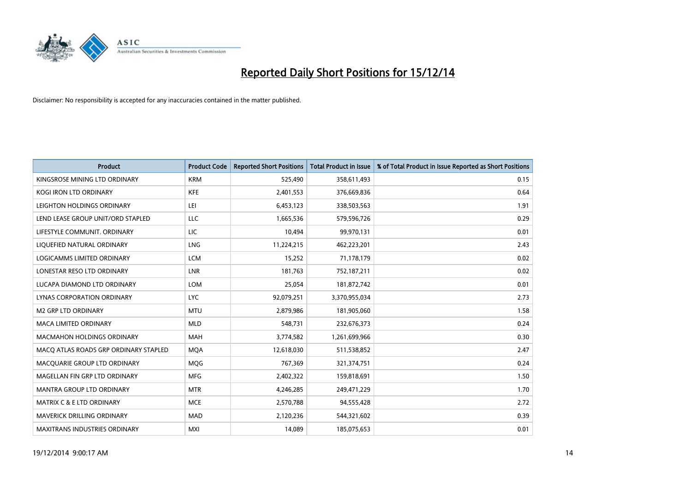

| Product                               | <b>Product Code</b> | <b>Reported Short Positions</b> | <b>Total Product in Issue</b> | % of Total Product in Issue Reported as Short Positions |
|---------------------------------------|---------------------|---------------------------------|-------------------------------|---------------------------------------------------------|
| KINGSROSE MINING LTD ORDINARY         | <b>KRM</b>          | 525,490                         | 358,611,493                   | 0.15                                                    |
| KOGI IRON LTD ORDINARY                | KFE                 | 2,401,553                       | 376,669,836                   | 0.64                                                    |
| LEIGHTON HOLDINGS ORDINARY            | LEI                 | 6,453,123                       | 338,503,563                   | 1.91                                                    |
| LEND LEASE GROUP UNIT/ORD STAPLED     | LLC                 | 1,665,536                       | 579,596,726                   | 0.29                                                    |
| LIFESTYLE COMMUNIT, ORDINARY          | <b>LIC</b>          | 10,494                          | 99,970,131                    | 0.01                                                    |
| LIQUEFIED NATURAL ORDINARY            | LNG                 | 11,224,215                      | 462,223,201                   | 2.43                                                    |
| LOGICAMMS LIMITED ORDINARY            | <b>LCM</b>          | 15,252                          | 71,178,179                    | 0.02                                                    |
| LONESTAR RESO LTD ORDINARY            | LNR                 | 181,763                         | 752,187,211                   | 0.02                                                    |
| LUCAPA DIAMOND LTD ORDINARY           | LOM                 | 25,054                          | 181,872,742                   | 0.01                                                    |
| <b>LYNAS CORPORATION ORDINARY</b>     | <b>LYC</b>          | 92,079,251                      | 3,370,955,034                 | 2.73                                                    |
| <b>M2 GRP LTD ORDINARY</b>            | <b>MTU</b>          | 2,879,986                       | 181,905,060                   | 1.58                                                    |
| <b>MACA LIMITED ORDINARY</b>          | <b>MLD</b>          | 548,731                         | 232,676,373                   | 0.24                                                    |
| MACMAHON HOLDINGS ORDINARY            | <b>MAH</b>          | 3,774,582                       | 1,261,699,966                 | 0.30                                                    |
| MACO ATLAS ROADS GRP ORDINARY STAPLED | <b>MOA</b>          | 12,618,030                      | 511,538,852                   | 2.47                                                    |
| MACQUARIE GROUP LTD ORDINARY          | MQG                 | 767,369                         | 321,374,751                   | 0.24                                                    |
| MAGELLAN FIN GRP LTD ORDINARY         | <b>MFG</b>          | 2,402,322                       | 159,818,691                   | 1.50                                                    |
| <b>MANTRA GROUP LTD ORDINARY</b>      | <b>MTR</b>          | 4,246,285                       | 249,471,229                   | 1.70                                                    |
| MATRIX C & E LTD ORDINARY             | <b>MCE</b>          | 2,570,788                       | 94,555,428                    | 2.72                                                    |
| MAVERICK DRILLING ORDINARY            | <b>MAD</b>          | 2,120,236                       | 544,321,602                   | 0.39                                                    |
| <b>MAXITRANS INDUSTRIES ORDINARY</b>  | <b>MXI</b>          | 14,089                          | 185,075,653                   | 0.01                                                    |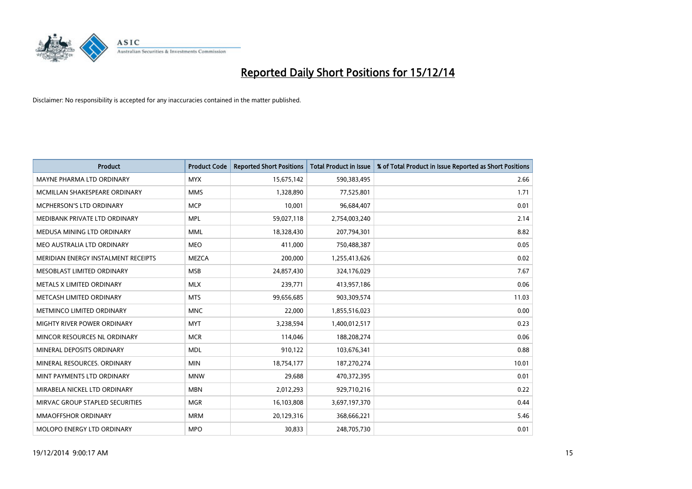

| Product                             | <b>Product Code</b> | <b>Reported Short Positions</b> | <b>Total Product in Issue</b> | % of Total Product in Issue Reported as Short Positions |
|-------------------------------------|---------------------|---------------------------------|-------------------------------|---------------------------------------------------------|
| MAYNE PHARMA LTD ORDINARY           | <b>MYX</b>          | 15,675,142                      | 590,383,495                   | 2.66                                                    |
| MCMILLAN SHAKESPEARE ORDINARY       | <b>MMS</b>          | 1,328,890                       | 77,525,801                    | 1.71                                                    |
| MCPHERSON'S LTD ORDINARY            | <b>MCP</b>          | 10,001                          | 96,684,407                    | 0.01                                                    |
| MEDIBANK PRIVATE LTD ORDINARY       | <b>MPL</b>          | 59,027,118                      | 2,754,003,240                 | 2.14                                                    |
| MEDUSA MINING LTD ORDINARY          | <b>MML</b>          | 18,328,430                      | 207,794,301                   | 8.82                                                    |
| MEO AUSTRALIA LTD ORDINARY          | <b>MEO</b>          | 411,000                         | 750,488,387                   | 0.05                                                    |
| MERIDIAN ENERGY INSTALMENT RECEIPTS | <b>MEZCA</b>        | 200,000                         | 1,255,413,626                 | 0.02                                                    |
| MESOBLAST LIMITED ORDINARY          | <b>MSB</b>          | 24,857,430                      | 324,176,029                   | 7.67                                                    |
| METALS X LIMITED ORDINARY           | <b>MLX</b>          | 239,771                         | 413,957,186                   | 0.06                                                    |
| METCASH LIMITED ORDINARY            | <b>MTS</b>          | 99,656,685                      | 903,309,574                   | 11.03                                                   |
| METMINCO LIMITED ORDINARY           | <b>MNC</b>          | 22,000                          | 1,855,516,023                 | 0.00                                                    |
| MIGHTY RIVER POWER ORDINARY         | <b>MYT</b>          | 3,238,594                       | 1,400,012,517                 | 0.23                                                    |
| MINCOR RESOURCES NL ORDINARY        | <b>MCR</b>          | 114,046                         | 188,208,274                   | 0.06                                                    |
| MINERAL DEPOSITS ORDINARY           | <b>MDL</b>          | 910,122                         | 103,676,341                   | 0.88                                                    |
| MINERAL RESOURCES, ORDINARY         | <b>MIN</b>          | 18,754,177                      | 187,270,274                   | 10.01                                                   |
| MINT PAYMENTS LTD ORDINARY          | <b>MNW</b>          | 29,688                          | 470,372,395                   | 0.01                                                    |
| MIRABELA NICKEL LTD ORDINARY        | <b>MBN</b>          | 2,012,293                       | 929,710,216                   | 0.22                                                    |
| MIRVAC GROUP STAPLED SECURITIES     | <b>MGR</b>          | 16,103,808                      | 3,697,197,370                 | 0.44                                                    |
| <b>MMAOFFSHOR ORDINARY</b>          | <b>MRM</b>          | 20,129,316                      | 368,666,221                   | 5.46                                                    |
| MOLOPO ENERGY LTD ORDINARY          | <b>MPO</b>          | 30,833                          | 248,705,730                   | 0.01                                                    |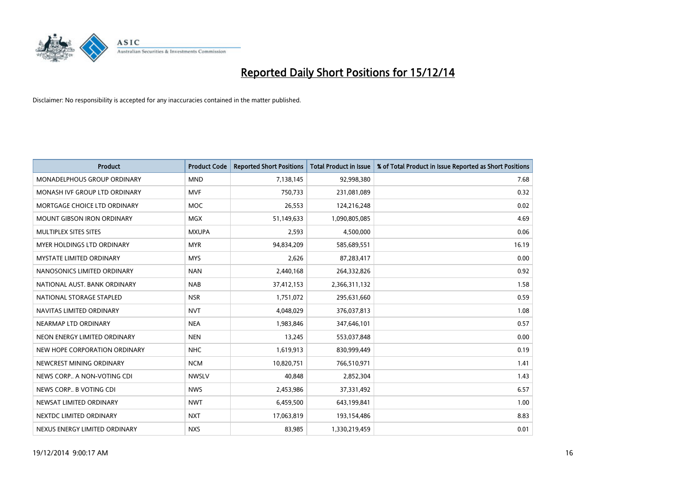

| <b>Product</b>                  | <b>Product Code</b> | <b>Reported Short Positions</b> | <b>Total Product in Issue</b> | % of Total Product in Issue Reported as Short Positions |
|---------------------------------|---------------------|---------------------------------|-------------------------------|---------------------------------------------------------|
| MONADELPHOUS GROUP ORDINARY     | <b>MND</b>          | 7,138,145                       | 92,998,380                    | 7.68                                                    |
| MONASH IVF GROUP LTD ORDINARY   | <b>MVF</b>          | 750,733                         | 231,081,089                   | 0.32                                                    |
| MORTGAGE CHOICE LTD ORDINARY    | <b>MOC</b>          | 26,553                          | 124,216,248                   | 0.02                                                    |
| MOUNT GIBSON IRON ORDINARY      | MGX                 | 51,149,633                      | 1,090,805,085                 | 4.69                                                    |
| MULTIPLEX SITES SITES           | <b>MXUPA</b>        | 2,593                           | 4,500,000                     | 0.06                                                    |
| MYER HOLDINGS LTD ORDINARY      | <b>MYR</b>          | 94,834,209                      | 585,689,551                   | 16.19                                                   |
| <b>MYSTATE LIMITED ORDINARY</b> | <b>MYS</b>          | 2,626                           | 87,283,417                    | 0.00                                                    |
| NANOSONICS LIMITED ORDINARY     | <b>NAN</b>          | 2,440,168                       | 264,332,826                   | 0.92                                                    |
| NATIONAL AUST. BANK ORDINARY    | <b>NAB</b>          | 37,412,153                      | 2,366,311,132                 | 1.58                                                    |
| NATIONAL STORAGE STAPLED        | <b>NSR</b>          | 1,751,072                       | 295,631,660                   | 0.59                                                    |
| NAVITAS LIMITED ORDINARY        | <b>NVT</b>          | 4,048,029                       | 376,037,813                   | 1.08                                                    |
| NEARMAP LTD ORDINARY            | <b>NEA</b>          | 1,983,846                       | 347,646,101                   | 0.57                                                    |
| NEON ENERGY LIMITED ORDINARY    | <b>NEN</b>          | 13,245                          | 553,037,848                   | 0.00                                                    |
| NEW HOPE CORPORATION ORDINARY   | <b>NHC</b>          | 1,619,913                       | 830,999,449                   | 0.19                                                    |
| NEWCREST MINING ORDINARY        | <b>NCM</b>          | 10,820,751                      | 766,510,971                   | 1.41                                                    |
| NEWS CORP A NON-VOTING CDI      | <b>NWSLV</b>        | 40,848                          | 2,852,304                     | 1.43                                                    |
| NEWS CORP B VOTING CDI          | <b>NWS</b>          | 2,453,986                       | 37,331,492                    | 6.57                                                    |
| NEWSAT LIMITED ORDINARY         | <b>NWT</b>          | 6,459,500                       | 643,199,841                   | 1.00                                                    |
| NEXTDC LIMITED ORDINARY         | <b>NXT</b>          | 17,063,819                      | 193,154,486                   | 8.83                                                    |
| NEXUS ENERGY LIMITED ORDINARY   | <b>NXS</b>          | 83,985                          | 1,330,219,459                 | 0.01                                                    |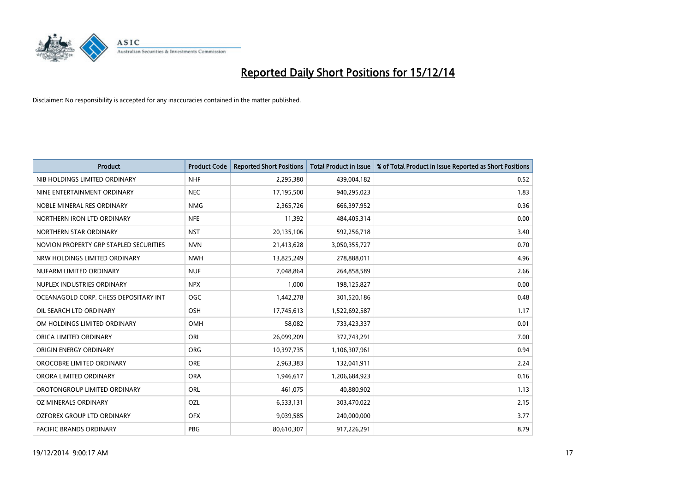

| <b>Product</b>                         | <b>Product Code</b> | <b>Reported Short Positions</b> | <b>Total Product in Issue</b> | % of Total Product in Issue Reported as Short Positions |
|----------------------------------------|---------------------|---------------------------------|-------------------------------|---------------------------------------------------------|
| NIB HOLDINGS LIMITED ORDINARY          | <b>NHF</b>          | 2,295,380                       | 439,004,182                   | 0.52                                                    |
| NINE ENTERTAINMENT ORDINARY            | <b>NEC</b>          | 17,195,500                      | 940,295,023                   | 1.83                                                    |
| NOBLE MINERAL RES ORDINARY             | <b>NMG</b>          | 2,365,726                       | 666,397,952                   | 0.36                                                    |
| NORTHERN IRON LTD ORDINARY             | <b>NFE</b>          | 11,392                          | 484,405,314                   | 0.00                                                    |
| NORTHERN STAR ORDINARY                 | <b>NST</b>          | 20,135,106                      | 592,256,718                   | 3.40                                                    |
| NOVION PROPERTY GRP STAPLED SECURITIES | <b>NVN</b>          | 21,413,628                      | 3,050,355,727                 | 0.70                                                    |
| NRW HOLDINGS LIMITED ORDINARY          | <b>NWH</b>          | 13,825,249                      | 278,888,011                   | 4.96                                                    |
| NUFARM LIMITED ORDINARY                | <b>NUF</b>          | 7,048,864                       | 264,858,589                   | 2.66                                                    |
| NUPLEX INDUSTRIES ORDINARY             | <b>NPX</b>          | 1.000                           | 198,125,827                   | 0.00                                                    |
| OCEANAGOLD CORP. CHESS DEPOSITARY INT  | <b>OGC</b>          | 1,442,278                       | 301,520,186                   | 0.48                                                    |
| OIL SEARCH LTD ORDINARY                | OSH                 | 17,745,613                      | 1,522,692,587                 | 1.17                                                    |
| OM HOLDINGS LIMITED ORDINARY           | OMH                 | 58,082                          | 733,423,337                   | 0.01                                                    |
| ORICA LIMITED ORDINARY                 | ORI                 | 26,099,209                      | 372,743,291                   | 7.00                                                    |
| ORIGIN ENERGY ORDINARY                 | ORG                 | 10,397,735                      | 1,106,307,961                 | 0.94                                                    |
| OROCOBRE LIMITED ORDINARY              | <b>ORE</b>          | 2,963,383                       | 132,041,911                   | 2.24                                                    |
| ORORA LIMITED ORDINARY                 | <b>ORA</b>          | 1,946,617                       | 1,206,684,923                 | 0.16                                                    |
| OROTONGROUP LIMITED ORDINARY           | ORL                 | 461,075                         | 40,880,902                    | 1.13                                                    |
| OZ MINERALS ORDINARY                   | OZL                 | 6,533,131                       | 303,470,022                   | 2.15                                                    |
| OZFOREX GROUP LTD ORDINARY             | <b>OFX</b>          | 9,039,585                       | 240,000,000                   | 3.77                                                    |
| PACIFIC BRANDS ORDINARY                | <b>PBG</b>          | 80,610,307                      | 917,226,291                   | 8.79                                                    |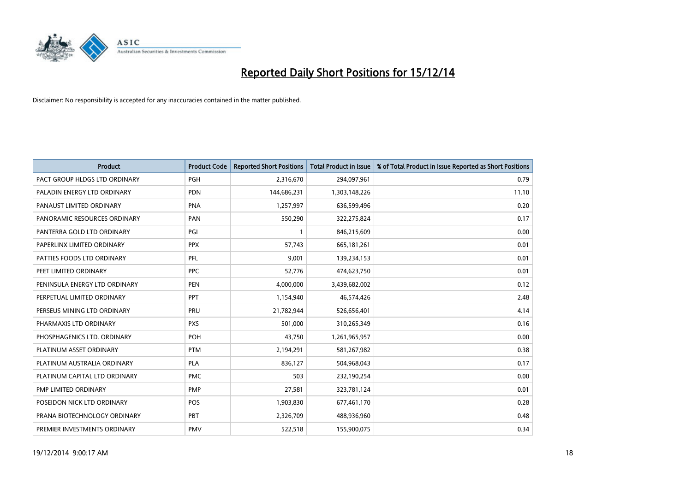

| <b>Product</b>                | <b>Product Code</b> | <b>Reported Short Positions</b> | <b>Total Product in Issue</b> | % of Total Product in Issue Reported as Short Positions |
|-------------------------------|---------------------|---------------------------------|-------------------------------|---------------------------------------------------------|
| PACT GROUP HLDGS LTD ORDINARY | <b>PGH</b>          | 2,316,670                       | 294,097,961                   | 0.79                                                    |
| PALADIN ENERGY LTD ORDINARY   | <b>PDN</b>          | 144,686,231                     | 1,303,148,226                 | 11.10                                                   |
| PANAUST LIMITED ORDINARY      | <b>PNA</b>          | 1,257,997                       | 636,599,496                   | 0.20                                                    |
| PANORAMIC RESOURCES ORDINARY  | PAN                 | 550,290                         | 322,275,824                   | 0.17                                                    |
| PANTERRA GOLD LTD ORDINARY    | PGI                 | $\mathbf{1}$                    | 846,215,609                   | 0.00                                                    |
| PAPERLINX LIMITED ORDINARY    | <b>PPX</b>          | 57,743                          | 665, 181, 261                 | 0.01                                                    |
| PATTIES FOODS LTD ORDINARY    | <b>PFL</b>          | 9,001                           | 139,234,153                   | 0.01                                                    |
| PEET LIMITED ORDINARY         | <b>PPC</b>          | 52,776                          | 474,623,750                   | 0.01                                                    |
| PENINSULA ENERGY LTD ORDINARY | <b>PEN</b>          | 4,000,000                       | 3,439,682,002                 | 0.12                                                    |
| PERPETUAL LIMITED ORDINARY    | <b>PPT</b>          | 1,154,940                       | 46,574,426                    | 2.48                                                    |
| PERSEUS MINING LTD ORDINARY   | PRU                 | 21,782,944                      | 526,656,401                   | 4.14                                                    |
| PHARMAXIS LTD ORDINARY        | <b>PXS</b>          | 501,000                         | 310,265,349                   | 0.16                                                    |
| PHOSPHAGENICS LTD. ORDINARY   | POH                 | 43,750                          | 1,261,965,957                 | 0.00                                                    |
| PLATINUM ASSET ORDINARY       | <b>PTM</b>          | 2,194,291                       | 581,267,982                   | 0.38                                                    |
| PLATINUM AUSTRALIA ORDINARY   | <b>PLA</b>          | 836,127                         | 504,968,043                   | 0.17                                                    |
| PLATINUM CAPITAL LTD ORDINARY | <b>PMC</b>          | 503                             | 232,190,254                   | 0.00                                                    |
| PMP LIMITED ORDINARY          | <b>PMP</b>          | 27,581                          | 323,781,124                   | 0.01                                                    |
| POSEIDON NICK LTD ORDINARY    | <b>POS</b>          | 1,903,830                       | 677,461,170                   | 0.28                                                    |
| PRANA BIOTECHNOLOGY ORDINARY  | PBT                 | 2,326,709                       | 488,936,960                   | 0.48                                                    |
| PREMIER INVESTMENTS ORDINARY  | <b>PMV</b>          | 522,518                         | 155,900,075                   | 0.34                                                    |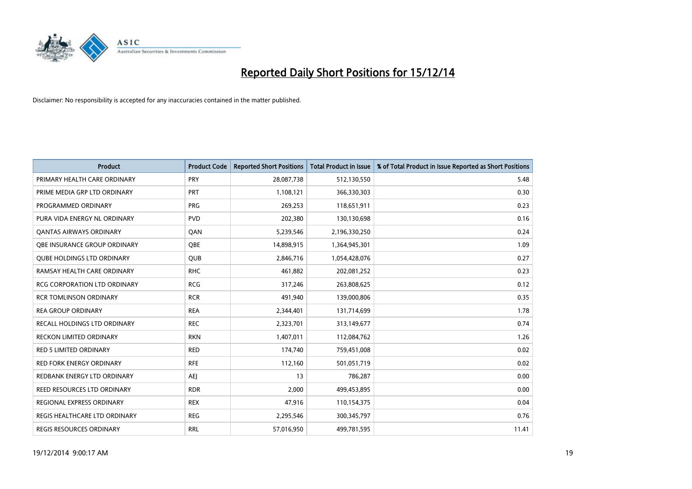

| <b>Product</b>                      | <b>Product Code</b> | <b>Reported Short Positions</b> | <b>Total Product in Issue</b> | % of Total Product in Issue Reported as Short Positions |
|-------------------------------------|---------------------|---------------------------------|-------------------------------|---------------------------------------------------------|
| PRIMARY HEALTH CARE ORDINARY        | PRY                 | 28,087,738                      | 512,130,550                   | 5.48                                                    |
| PRIME MEDIA GRP LTD ORDINARY        | <b>PRT</b>          | 1,108,121                       | 366,330,303                   | 0.30                                                    |
| PROGRAMMED ORDINARY                 | <b>PRG</b>          | 269,253                         | 118,651,911                   | 0.23                                                    |
| PURA VIDA ENERGY NL ORDINARY        | <b>PVD</b>          | 202,380                         | 130,130,698                   | 0.16                                                    |
| <b>QANTAS AIRWAYS ORDINARY</b>      | QAN                 | 5,239,546                       | 2,196,330,250                 | 0.24                                                    |
| OBE INSURANCE GROUP ORDINARY        | <b>OBE</b>          | 14,898,915                      | 1,364,945,301                 | 1.09                                                    |
| <b>QUBE HOLDINGS LTD ORDINARY</b>   | <b>QUB</b>          | 2,846,716                       | 1,054,428,076                 | 0.27                                                    |
| RAMSAY HEALTH CARE ORDINARY         | <b>RHC</b>          | 461,882                         | 202,081,252                   | 0.23                                                    |
| <b>RCG CORPORATION LTD ORDINARY</b> | <b>RCG</b>          | 317,246                         | 263,808,625                   | 0.12                                                    |
| <b>RCR TOMLINSON ORDINARY</b>       | <b>RCR</b>          | 491,940                         | 139,000,806                   | 0.35                                                    |
| <b>REA GROUP ORDINARY</b>           | <b>REA</b>          | 2,344,401                       | 131,714,699                   | 1.78                                                    |
| RECALL HOLDINGS LTD ORDINARY        | <b>REC</b>          | 2,323,701                       | 313,149,677                   | 0.74                                                    |
| RECKON LIMITED ORDINARY             | <b>RKN</b>          | 1,407,011                       | 112,084,762                   | 1.26                                                    |
| <b>RED 5 LIMITED ORDINARY</b>       | <b>RED</b>          | 174,740                         | 759,451,008                   | 0.02                                                    |
| <b>RED FORK ENERGY ORDINARY</b>     | <b>RFE</b>          | 112,160                         | 501,051,719                   | 0.02                                                    |
| REDBANK ENERGY LTD ORDINARY         | <b>AEI</b>          | 13                              | 786,287                       | 0.00                                                    |
| REED RESOURCES LTD ORDINARY         | <b>RDR</b>          | 2,000                           | 499,453,895                   | 0.00                                                    |
| REGIONAL EXPRESS ORDINARY           | <b>REX</b>          | 47,916                          | 110,154,375                   | 0.04                                                    |
| REGIS HEALTHCARE LTD ORDINARY       | <b>REG</b>          | 2,295,546                       | 300, 345, 797                 | 0.76                                                    |
| REGIS RESOURCES ORDINARY            | <b>RRL</b>          | 57,016,950                      | 499,781,595                   | 11.41                                                   |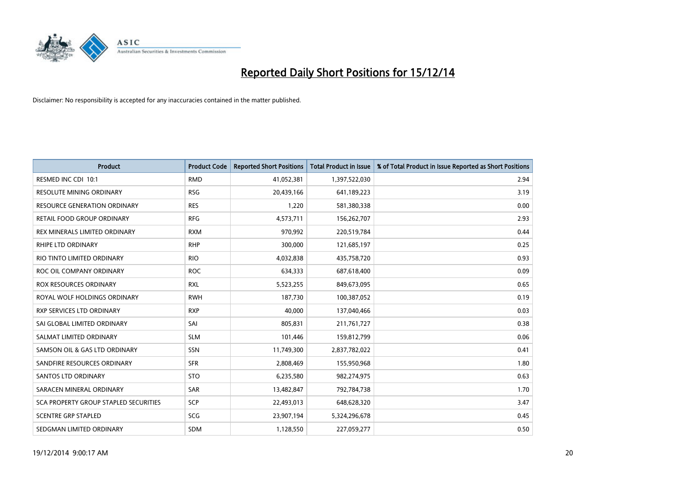

| <b>Product</b>                        | <b>Product Code</b> | <b>Reported Short Positions</b> | <b>Total Product in Issue</b> | % of Total Product in Issue Reported as Short Positions |
|---------------------------------------|---------------------|---------------------------------|-------------------------------|---------------------------------------------------------|
| RESMED INC CDI 10:1                   | <b>RMD</b>          | 41,052,381                      | 1,397,522,030                 | 2.94                                                    |
| RESOLUTE MINING ORDINARY              | <b>RSG</b>          | 20,439,166                      | 641,189,223                   | 3.19                                                    |
| <b>RESOURCE GENERATION ORDINARY</b>   | <b>RES</b>          | 1,220                           | 581,380,338                   | 0.00                                                    |
| RETAIL FOOD GROUP ORDINARY            | <b>RFG</b>          | 4,573,711                       | 156,262,707                   | 2.93                                                    |
| REX MINERALS LIMITED ORDINARY         | <b>RXM</b>          | 970,992                         | 220,519,784                   | 0.44                                                    |
| <b>RHIPE LTD ORDINARY</b>             | <b>RHP</b>          | 300,000                         | 121,685,197                   | 0.25                                                    |
| RIO TINTO LIMITED ORDINARY            | <b>RIO</b>          | 4,032,838                       | 435,758,720                   | 0.93                                                    |
| ROC OIL COMPANY ORDINARY              | <b>ROC</b>          | 634,333                         | 687,618,400                   | 0.09                                                    |
| ROX RESOURCES ORDINARY                | <b>RXL</b>          | 5,523,255                       | 849,673,095                   | 0.65                                                    |
| ROYAL WOLF HOLDINGS ORDINARY          | <b>RWH</b>          | 187,730                         | 100,387,052                   | 0.19                                                    |
| RXP SERVICES LTD ORDINARY             | <b>RXP</b>          | 40,000                          | 137,040,466                   | 0.03                                                    |
| SAI GLOBAL LIMITED ORDINARY           | SAI                 | 805,831                         | 211,761,727                   | 0.38                                                    |
| SALMAT LIMITED ORDINARY               | <b>SLM</b>          | 101,446                         | 159,812,799                   | 0.06                                                    |
| SAMSON OIL & GAS LTD ORDINARY         | SSN                 | 11,749,300                      | 2,837,782,022                 | 0.41                                                    |
| SANDFIRE RESOURCES ORDINARY           | <b>SFR</b>          | 2,808,469                       | 155,950,968                   | 1.80                                                    |
| <b>SANTOS LTD ORDINARY</b>            | <b>STO</b>          | 6,235,580                       | 982,274,975                   | 0.63                                                    |
| SARACEN MINERAL ORDINARY              | SAR                 | 13,482,847                      | 792,784,738                   | 1.70                                                    |
| SCA PROPERTY GROUP STAPLED SECURITIES | <b>SCP</b>          | 22,493,013                      | 648,628,320                   | 3.47                                                    |
| <b>SCENTRE GRP STAPLED</b>            | SCG                 | 23,907,194                      | 5,324,296,678                 | 0.45                                                    |
| SEDGMAN LIMITED ORDINARY              | <b>SDM</b>          | 1,128,550                       | 227,059,277                   | 0.50                                                    |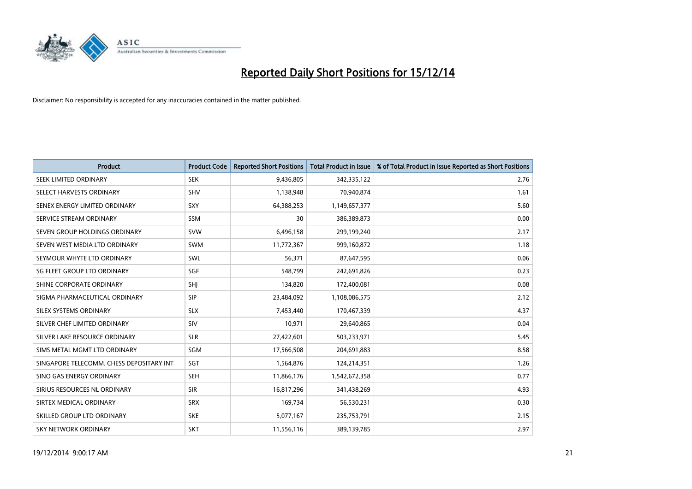

| <b>Product</b>                           | <b>Product Code</b> | <b>Reported Short Positions</b> | <b>Total Product in Issue</b> | % of Total Product in Issue Reported as Short Positions |
|------------------------------------------|---------------------|---------------------------------|-------------------------------|---------------------------------------------------------|
| SEEK LIMITED ORDINARY                    | <b>SEK</b>          | 9,436,805                       | 342,335,122                   | 2.76                                                    |
| SELECT HARVESTS ORDINARY                 | <b>SHV</b>          | 1,138,948                       | 70,940,874                    | 1.61                                                    |
| SENEX ENERGY LIMITED ORDINARY            | <b>SXY</b>          | 64,388,253                      | 1,149,657,377                 | 5.60                                                    |
| SERVICE STREAM ORDINARY                  | SSM                 | 30                              | 386,389,873                   | 0.00                                                    |
| SEVEN GROUP HOLDINGS ORDINARY            | <b>SVW</b>          | 6,496,158                       | 299,199,240                   | 2.17                                                    |
| SEVEN WEST MEDIA LTD ORDINARY            | <b>SWM</b>          | 11,772,367                      | 999,160,872                   | 1.18                                                    |
| SEYMOUR WHYTE LTD ORDINARY               | SWL                 | 56,371                          | 87,647,595                    | 0.06                                                    |
| SG FLEET GROUP LTD ORDINARY              | SGF                 | 548,799                         | 242,691,826                   | 0.23                                                    |
| SHINE CORPORATE ORDINARY                 | SHJ                 | 134,820                         | 172,400,081                   | 0.08                                                    |
| SIGMA PHARMACEUTICAL ORDINARY            | <b>SIP</b>          | 23,484,092                      | 1,108,086,575                 | 2.12                                                    |
| SILEX SYSTEMS ORDINARY                   | <b>SLX</b>          | 7,453,440                       | 170,467,339                   | 4.37                                                    |
| SILVER CHEF LIMITED ORDINARY             | SIV                 | 10,971                          | 29,640,865                    | 0.04                                                    |
| SILVER LAKE RESOURCE ORDINARY            | <b>SLR</b>          | 27,422,601                      | 503,233,971                   | 5.45                                                    |
| SIMS METAL MGMT LTD ORDINARY             | SGM                 | 17,566,508                      | 204,691,883                   | 8.58                                                    |
| SINGAPORE TELECOMM. CHESS DEPOSITARY INT | SGT                 | 1,564,876                       | 124,214,351                   | 1.26                                                    |
| SINO GAS ENERGY ORDINARY                 | SEH                 | 11,866,176                      | 1,542,672,358                 | 0.77                                                    |
| SIRIUS RESOURCES NL ORDINARY             | <b>SIR</b>          | 16,817,296                      | 341,438,269                   | 4.93                                                    |
| SIRTEX MEDICAL ORDINARY                  | <b>SRX</b>          | 169,734                         | 56,530,231                    | 0.30                                                    |
| SKILLED GROUP LTD ORDINARY               | <b>SKE</b>          | 5,077,167                       | 235,753,791                   | 2.15                                                    |
| SKY NETWORK ORDINARY                     | <b>SKT</b>          | 11,556,116                      | 389,139,785                   | 2.97                                                    |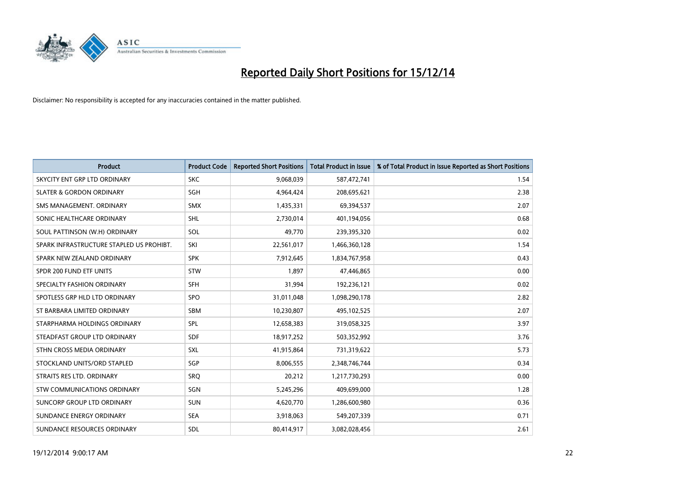

| <b>Product</b>                           | <b>Product Code</b> | <b>Reported Short Positions</b> | <b>Total Product in Issue</b> | % of Total Product in Issue Reported as Short Positions |
|------------------------------------------|---------------------|---------------------------------|-------------------------------|---------------------------------------------------------|
| SKYCITY ENT GRP LTD ORDINARY             | <b>SKC</b>          | 9,068,039                       | 587,472,741                   | 1.54                                                    |
| <b>SLATER &amp; GORDON ORDINARY</b>      | SGH                 | 4,964,424                       | 208,695,621                   | 2.38                                                    |
| SMS MANAGEMENT, ORDINARY                 | SMX                 | 1,435,331                       | 69,394,537                    | 2.07                                                    |
| SONIC HEALTHCARE ORDINARY                | <b>SHL</b>          | 2,730,014                       | 401,194,056                   | 0.68                                                    |
| SOUL PATTINSON (W.H) ORDINARY            | SOL                 | 49,770                          | 239,395,320                   | 0.02                                                    |
| SPARK INFRASTRUCTURE STAPLED US PROHIBT. | SKI                 | 22,561,017                      | 1,466,360,128                 | 1.54                                                    |
| SPARK NEW ZEALAND ORDINARY               | <b>SPK</b>          | 7,912,645                       | 1,834,767,958                 | 0.43                                                    |
| SPDR 200 FUND ETF UNITS                  | <b>STW</b>          | 1,897                           | 47,446,865                    | 0.00                                                    |
| SPECIALTY FASHION ORDINARY               | <b>SFH</b>          | 31,994                          | 192,236,121                   | 0.02                                                    |
| SPOTLESS GRP HLD LTD ORDINARY            | <b>SPO</b>          | 31,011,048                      | 1,098,290,178                 | 2.82                                                    |
| ST BARBARA LIMITED ORDINARY              | <b>SBM</b>          | 10,230,807                      | 495,102,525                   | 2.07                                                    |
| STARPHARMA HOLDINGS ORDINARY             | SPL                 | 12,658,383                      | 319,058,325                   | 3.97                                                    |
| STEADFAST GROUP LTD ORDINARY             | <b>SDF</b>          | 18,917,252                      | 503,352,992                   | 3.76                                                    |
| STHN CROSS MEDIA ORDINARY                | SXL                 | 41,915,864                      | 731,319,622                   | 5.73                                                    |
| STOCKLAND UNITS/ORD STAPLED              | SGP                 | 8,006,555                       | 2,348,746,744                 | 0.34                                                    |
| STRAITS RES LTD. ORDINARY                | <b>SRO</b>          | 20,212                          | 1,217,730,293                 | 0.00                                                    |
| STW COMMUNICATIONS ORDINARY              | SGN                 | 5,245,296                       | 409,699,000                   | 1.28                                                    |
| SUNCORP GROUP LTD ORDINARY               | <b>SUN</b>          | 4,620,770                       | 1,286,600,980                 | 0.36                                                    |
| SUNDANCE ENERGY ORDINARY                 | <b>SEA</b>          | 3,918,063                       | 549,207,339                   | 0.71                                                    |
| SUNDANCE RESOURCES ORDINARY              | <b>SDL</b>          | 80,414,917                      | 3,082,028,456                 | 2.61                                                    |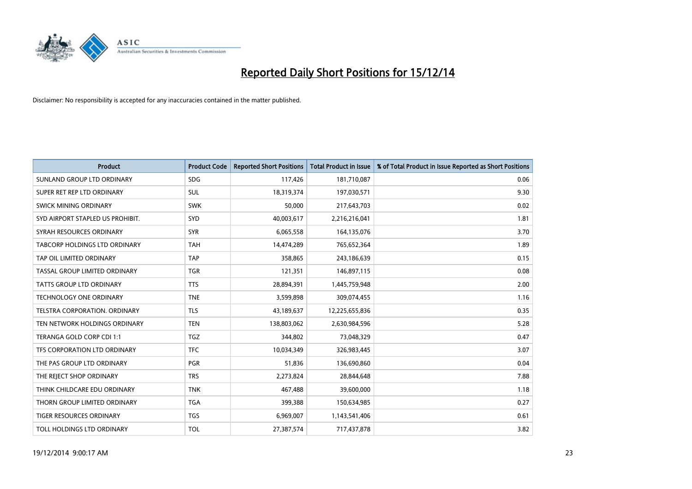

| <b>Product</b>                   | <b>Product Code</b> | <b>Reported Short Positions</b> | <b>Total Product in Issue</b> | % of Total Product in Issue Reported as Short Positions |
|----------------------------------|---------------------|---------------------------------|-------------------------------|---------------------------------------------------------|
| SUNLAND GROUP LTD ORDINARY       | <b>SDG</b>          | 117,426                         | 181,710,087                   | 0.06                                                    |
| SUPER RET REP LTD ORDINARY       | SUL                 | 18,319,374                      | 197,030,571                   | 9.30                                                    |
| <b>SWICK MINING ORDINARY</b>     | <b>SWK</b>          | 50,000                          | 217,643,703                   | 0.02                                                    |
| SYD AIRPORT STAPLED US PROHIBIT. | SYD                 | 40,003,617                      | 2,216,216,041                 | 1.81                                                    |
| SYRAH RESOURCES ORDINARY         | <b>SYR</b>          | 6,065,558                       | 164,135,076                   | 3.70                                                    |
| TABCORP HOLDINGS LTD ORDINARY    | <b>TAH</b>          | 14,474,289                      | 765,652,364                   | 1.89                                                    |
| TAP OIL LIMITED ORDINARY         | <b>TAP</b>          | 358,865                         | 243,186,639                   | 0.15                                                    |
| TASSAL GROUP LIMITED ORDINARY    | <b>TGR</b>          | 121,351                         | 146,897,115                   | 0.08                                                    |
| TATTS GROUP LTD ORDINARY         | <b>TTS</b>          | 28,894,391                      | 1,445,759,948                 | 2.00                                                    |
| <b>TECHNOLOGY ONE ORDINARY</b>   | <b>TNE</b>          | 3,599,898                       | 309,074,455                   | 1.16                                                    |
| TELSTRA CORPORATION. ORDINARY    | <b>TLS</b>          | 43,189,637                      | 12,225,655,836                | 0.35                                                    |
| TEN NETWORK HOLDINGS ORDINARY    | <b>TEN</b>          | 138,803,062                     | 2,630,984,596                 | 5.28                                                    |
| TERANGA GOLD CORP CDI 1:1        | <b>TGZ</b>          | 344,802                         | 73,048,329                    | 0.47                                                    |
| TFS CORPORATION LTD ORDINARY     | <b>TFC</b>          | 10,034,349                      | 326,983,445                   | 3.07                                                    |
| THE PAS GROUP LTD ORDINARY       | <b>PGR</b>          | 51,836                          | 136,690,860                   | 0.04                                                    |
| THE REJECT SHOP ORDINARY         | <b>TRS</b>          | 2,273,824                       | 28,844,648                    | 7.88                                                    |
| THINK CHILDCARE EDU ORDINARY     | <b>TNK</b>          | 467,488                         | 39,600,000                    | 1.18                                                    |
| THORN GROUP LIMITED ORDINARY     | <b>TGA</b>          | 399,388                         | 150,634,985                   | 0.27                                                    |
| <b>TIGER RESOURCES ORDINARY</b>  | <b>TGS</b>          | 6,969,007                       | 1,143,541,406                 | 0.61                                                    |
| TOLL HOLDINGS LTD ORDINARY       | <b>TOL</b>          | 27,387,574                      | 717,437,878                   | 3.82                                                    |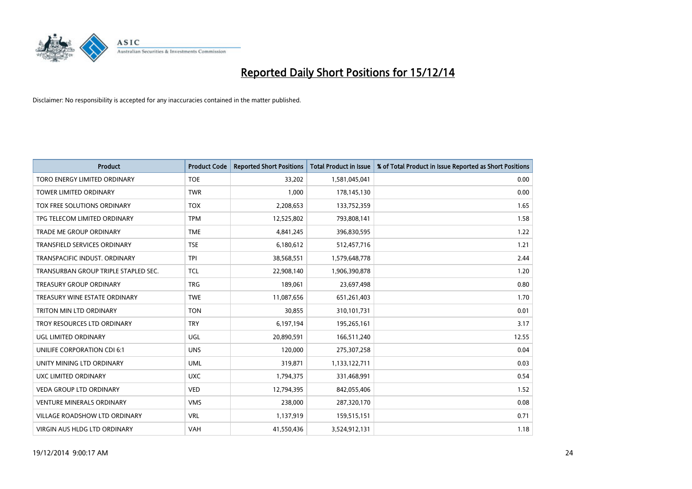

| <b>Product</b>                       | <b>Product Code</b> | <b>Reported Short Positions</b> | <b>Total Product in Issue</b> | % of Total Product in Issue Reported as Short Positions |
|--------------------------------------|---------------------|---------------------------------|-------------------------------|---------------------------------------------------------|
| TORO ENERGY LIMITED ORDINARY         | <b>TOE</b>          | 33,202                          | 1,581,045,041                 | 0.00                                                    |
| TOWER LIMITED ORDINARY               | <b>TWR</b>          | 1,000                           | 178,145,130                   | 0.00                                                    |
| TOX FREE SOLUTIONS ORDINARY          | <b>TOX</b>          | 2,208,653                       | 133,752,359                   | 1.65                                                    |
| TPG TELECOM LIMITED ORDINARY         | <b>TPM</b>          | 12,525,802                      | 793,808,141                   | 1.58                                                    |
| <b>TRADE ME GROUP ORDINARY</b>       | <b>TME</b>          | 4,841,245                       | 396,830,595                   | 1.22                                                    |
| <b>TRANSFIELD SERVICES ORDINARY</b>  | <b>TSE</b>          | 6,180,612                       | 512,457,716                   | 1.21                                                    |
| TRANSPACIFIC INDUST, ORDINARY        | <b>TPI</b>          | 38,568,551                      | 1,579,648,778                 | 2.44                                                    |
| TRANSURBAN GROUP TRIPLE STAPLED SEC. | <b>TCL</b>          | 22,908,140                      | 1,906,390,878                 | 1.20                                                    |
| <b>TREASURY GROUP ORDINARY</b>       | <b>TRG</b>          | 189,061                         | 23,697,498                    | 0.80                                                    |
| TREASURY WINE ESTATE ORDINARY        | <b>TWE</b>          | 11,087,656                      | 651,261,403                   | 1.70                                                    |
| TRITON MIN LTD ORDINARY              | <b>TON</b>          | 30,855                          | 310,101,731                   | 0.01                                                    |
| TROY RESOURCES LTD ORDINARY          | <b>TRY</b>          | 6,197,194                       | 195,265,161                   | 3.17                                                    |
| UGL LIMITED ORDINARY                 | UGL                 | 20,890,591                      | 166,511,240                   | 12.55                                                   |
| UNILIFE CORPORATION CDI 6:1          | <b>UNS</b>          | 120,000                         | 275,307,258                   | 0.04                                                    |
| UNITY MINING LTD ORDINARY            | <b>UML</b>          | 319,871                         | 1,133,122,711                 | 0.03                                                    |
| UXC LIMITED ORDINARY                 | <b>UXC</b>          | 1,794,375                       | 331,468,991                   | 0.54                                                    |
| VEDA GROUP LTD ORDINARY              | <b>VED</b>          | 12,794,395                      | 842,055,406                   | 1.52                                                    |
| <b>VENTURE MINERALS ORDINARY</b>     | <b>VMS</b>          | 238,000                         | 287,320,170                   | 0.08                                                    |
| <b>VILLAGE ROADSHOW LTD ORDINARY</b> | <b>VRL</b>          | 1,137,919                       | 159,515,151                   | 0.71                                                    |
| VIRGIN AUS HLDG LTD ORDINARY         | VAH                 | 41,550,436                      | 3,524,912,131                 | 1.18                                                    |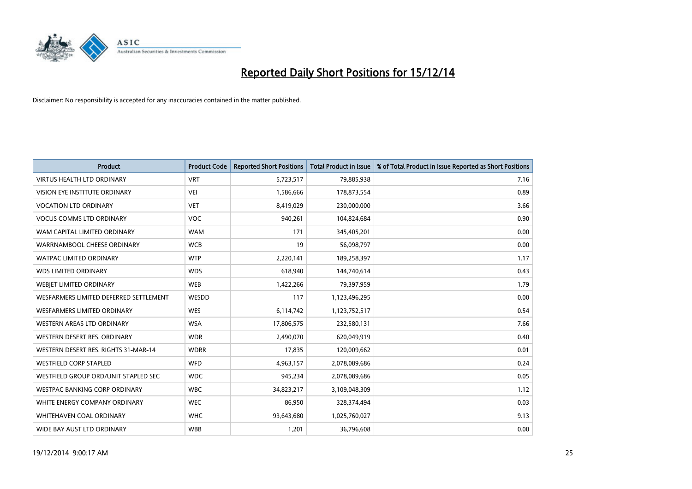

| <b>Product</b>                         | <b>Product Code</b> | <b>Reported Short Positions</b> | <b>Total Product in Issue</b> | % of Total Product in Issue Reported as Short Positions |
|----------------------------------------|---------------------|---------------------------------|-------------------------------|---------------------------------------------------------|
| <b>VIRTUS HEALTH LTD ORDINARY</b>      | <b>VRT</b>          | 5,723,517                       | 79,885,938                    | 7.16                                                    |
| <b>VISION EYE INSTITUTE ORDINARY</b>   | <b>VEI</b>          | 1,586,666                       | 178,873,554                   | 0.89                                                    |
| <b>VOCATION LTD ORDINARY</b>           | <b>VET</b>          | 8,419,029                       | 230,000,000                   | 3.66                                                    |
| <b>VOCUS COMMS LTD ORDINARY</b>        | <b>VOC</b>          | 940,261                         | 104,824,684                   | 0.90                                                    |
| WAM CAPITAL LIMITED ORDINARY           | <b>WAM</b>          | 171                             | 345,405,201                   | 0.00                                                    |
| WARRNAMBOOL CHEESE ORDINARY            | <b>WCB</b>          | 19                              | 56,098,797                    | 0.00                                                    |
| <b>WATPAC LIMITED ORDINARY</b>         | <b>WTP</b>          | 2,220,141                       | 189,258,397                   | 1.17                                                    |
| <b>WDS LIMITED ORDINARY</b>            | <b>WDS</b>          | 618,940                         | 144,740,614                   | 0.43                                                    |
| WEBIET LIMITED ORDINARY                | <b>WEB</b>          | 1,422,266                       | 79,397,959                    | 1.79                                                    |
| WESFARMERS LIMITED DEFERRED SETTLEMENT | WESDD               | 117                             | 1,123,496,295                 | 0.00                                                    |
| WESFARMERS LIMITED ORDINARY            | <b>WES</b>          | 6,114,742                       | 1,123,752,517                 | 0.54                                                    |
| WESTERN AREAS LTD ORDINARY             | <b>WSA</b>          | 17,806,575                      | 232,580,131                   | 7.66                                                    |
| WESTERN DESERT RES. ORDINARY           | <b>WDR</b>          | 2,490,070                       | 620,049,919                   | 0.40                                                    |
| WESTERN DESERT RES. RIGHTS 31-MAR-14   | <b>WDRR</b>         | 17,835                          | 120,009,662                   | 0.01                                                    |
| <b>WESTFIELD CORP STAPLED</b>          | WFD                 | 4,963,157                       | 2,078,089,686                 | 0.24                                                    |
| WESTFIELD GROUP ORD/UNIT STAPLED SEC   | <b>WDC</b>          | 945,234                         | 2,078,089,686                 | 0.05                                                    |
| WESTPAC BANKING CORP ORDINARY          | <b>WBC</b>          | 34,823,217                      | 3,109,048,309                 | 1.12                                                    |
| WHITE ENERGY COMPANY ORDINARY          | <b>WEC</b>          | 86,950                          | 328,374,494                   | 0.03                                                    |
| WHITEHAVEN COAL ORDINARY               | <b>WHC</b>          | 93,643,680                      | 1,025,760,027                 | 9.13                                                    |
| WIDE BAY AUST LTD ORDINARY             | <b>WBB</b>          | 1,201                           | 36,796,608                    | 0.00                                                    |